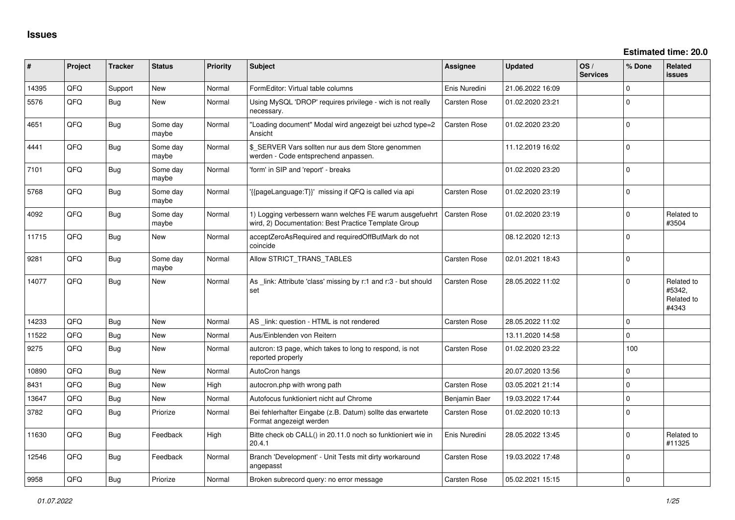| ∦     | Project | <b>Tracker</b> | <b>Status</b>     | <b>Priority</b> | <b>Subject</b>                                                                                                  | Assignee            | Updated          | OS/<br><b>Services</b> | % Done      | Related<br><b>issues</b>                    |
|-------|---------|----------------|-------------------|-----------------|-----------------------------------------------------------------------------------------------------------------|---------------------|------------------|------------------------|-------------|---------------------------------------------|
| 14395 | QFQ     | Support        | <b>New</b>        | Normal          | FormEditor: Virtual table columns                                                                               | Enis Nuredini       | 21.06.2022 16:09 |                        | $\mathbf 0$ |                                             |
| 5576  | QFQ     | Bug            | <b>New</b>        | Normal          | Using MySQL 'DROP' requires privilege - wich is not really<br>necessary.                                        | Carsten Rose        | 01.02.2020 23:21 |                        | $\Omega$    |                                             |
| 4651  | QFQ     | <b>Bug</b>     | Some day<br>maybe | Normal          | 'Loading document" Modal wird angezeigt bei uzhcd type=2<br>Ansicht                                             | <b>Carsten Rose</b> | 01.02.2020 23:20 |                        | $\mathbf 0$ |                                             |
| 4441  | QFQ     | Bug            | Some day<br>maybe | Normal          | \$_SERVER Vars sollten nur aus dem Store genommen<br>werden - Code entsprechend anpassen.                       |                     | 11.12.2019 16:02 |                        | $\Omega$    |                                             |
| 7101  | QFQ     | <b>Bug</b>     | Some day<br>maybe | Normal          | 'form' in SIP and 'report' - breaks                                                                             |                     | 01.02.2020 23:20 |                        | $\Omega$    |                                             |
| 5768  | QFQ     | Bug            | Some day<br>maybe | Normal          | '{{pageLanguage:T}}' missing if QFQ is called via api                                                           | Carsten Rose        | 01.02.2020 23:19 |                        | $\Omega$    |                                             |
| 4092  | QFQ     | <b>Bug</b>     | Some day<br>maybe | Normal          | 1) Logging verbessern wann welches FE warum ausgefuehrt<br>wird, 2) Documentation: Best Practice Template Group | <b>Carsten Rose</b> | 01.02.2020 23:19 |                        | $\mathbf 0$ | Related to<br>#3504                         |
| 11715 | QFQ     | <b>Bug</b>     | <b>New</b>        | Normal          | acceptZeroAsRequired and requiredOffButMark do not<br>coincide                                                  |                     | 08.12.2020 12:13 |                        | $\Omega$    |                                             |
| 9281  | QFQ     | <b>Bug</b>     | Some day<br>maybe | Normal          | Allow STRICT_TRANS_TABLES                                                                                       | Carsten Rose        | 02.01.2021 18:43 |                        | $\Omega$    |                                             |
| 14077 | QFQ     | <b>Bug</b>     | New               | Normal          | As _link: Attribute 'class' missing by r:1 and r:3 - but should<br>set                                          | <b>Carsten Rose</b> | 28.05.2022 11:02 |                        | $\Omega$    | Related to<br>#5342.<br>Related to<br>#4343 |
| 14233 | QFQ     | Bug            | <b>New</b>        | Normal          | AS_link: question - HTML is not rendered                                                                        | Carsten Rose        | 28.05.2022 11:02 |                        | $\Omega$    |                                             |
| 11522 | QFQ     | Bug            | New               | Normal          | Aus/Einblenden von Reitern                                                                                      |                     | 13.11.2020 14:58 |                        | $\mathbf 0$ |                                             |
| 9275  | QFQ     | Bug            | <b>New</b>        | Normal          | auteron: t3 page, which takes to long to respond, is not<br>reported properly                                   | <b>Carsten Rose</b> | 01.02.2020 23:22 |                        | 100         |                                             |
| 10890 | QFQ     | Bug            | New               | Normal          | AutoCron hangs                                                                                                  |                     | 20.07.2020 13:56 |                        | $\mathbf 0$ |                                             |
| 8431  | QFQ     | Bug            | <b>New</b>        | High            | autocron.php with wrong path                                                                                    | Carsten Rose        | 03.05.2021 21:14 |                        | $\mathbf 0$ |                                             |
| 13647 | QFQ     | <b>Bug</b>     | <b>New</b>        | Normal          | Autofocus funktioniert nicht auf Chrome                                                                         | Benjamin Baer       | 19.03.2022 17:44 |                        | $\mathbf 0$ |                                             |
| 3782  | QFQ     | <b>Bug</b>     | Priorize          | Normal          | Bei fehlerhafter Eingabe (z.B. Datum) sollte das erwartete<br>Format angezeigt werden                           | <b>Carsten Rose</b> | 01.02.2020 10:13 |                        | $\Omega$    |                                             |
| 11630 | QFQ     | <b>Bug</b>     | Feedback          | High            | Bitte check ob CALL() in 20.11.0 noch so funktioniert wie in<br>20.4.1                                          | Enis Nuredini       | 28.05.2022 13:45 |                        | $\Omega$    | Related to<br>#11325                        |
| 12546 | QFQ     | <b>Bug</b>     | Feedback          | Normal          | Branch 'Development' - Unit Tests mit dirty workaround<br>angepasst                                             | Carsten Rose        | 19.03.2022 17:48 |                        | $\mathbf 0$ |                                             |
| 9958  | QFQ     | Bug            | Priorize          | Normal          | Broken subrecord query: no error message                                                                        | Carsten Rose        | 05.02.2021 15:15 |                        | $\mathbf 0$ |                                             |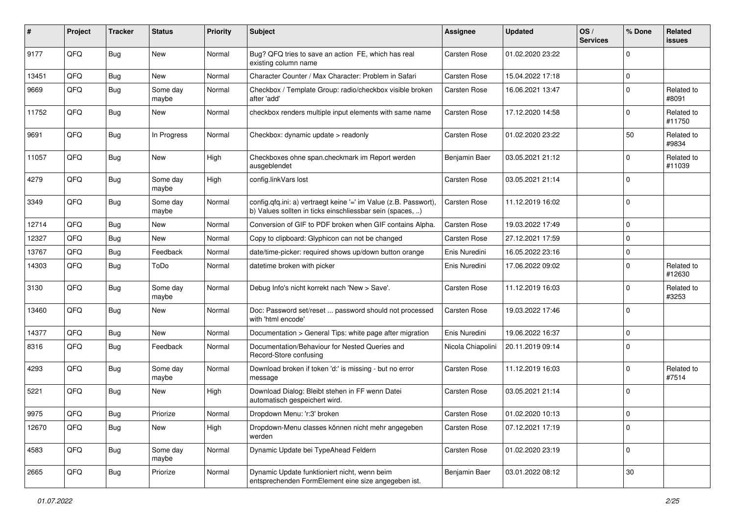| #     | Project | <b>Tracker</b> | <b>Status</b>     | <b>Priority</b> | <b>Subject</b>                                                                                                                | <b>Assignee</b>     | <b>Updated</b>   | OS/<br><b>Services</b> | % Done      | Related<br><b>issues</b> |
|-------|---------|----------------|-------------------|-----------------|-------------------------------------------------------------------------------------------------------------------------------|---------------------|------------------|------------------------|-------------|--------------------------|
| 9177  | QFQ     | Bug            | New               | Normal          | Bug? QFQ tries to save an action FE, which has real<br>existing column name                                                   | <b>Carsten Rose</b> | 01.02.2020 23:22 |                        | $\Omega$    |                          |
| 13451 | QFQ     | <b>Bug</b>     | New               | Normal          | Character Counter / Max Character: Problem in Safari                                                                          | Carsten Rose        | 15.04.2022 17:18 |                        | $\mathbf 0$ |                          |
| 9669  | QFQ     | <b>Bug</b>     | Some day<br>maybe | Normal          | Checkbox / Template Group: radio/checkbox visible broken<br>after 'add'                                                       | Carsten Rose        | 16.06.2021 13:47 |                        | $\mathbf 0$ | Related to<br>#8091      |
| 11752 | QFQ     | Bug            | New               | Normal          | checkbox renders multiple input elements with same name                                                                       | Carsten Rose        | 17.12.2020 14:58 |                        | $\mathbf 0$ | Related to<br>#11750     |
| 9691  | QFQ     | Bug            | In Progress       | Normal          | Checkbox: dynamic update > readonly                                                                                           | Carsten Rose        | 01.02.2020 23:22 |                        | 50          | Related to<br>#9834      |
| 11057 | QFQ     | Bug            | New               | High            | Checkboxes ohne span.checkmark im Report werden<br>ausgeblendet                                                               | Benjamin Baer       | 03.05.2021 21:12 |                        | $\mathbf 0$ | Related to<br>#11039     |
| 4279  | QFQ     | Bug            | Some day<br>maybe | High            | config.linkVars lost                                                                                                          | Carsten Rose        | 03.05.2021 21:14 |                        | $\mathbf 0$ |                          |
| 3349  | QFQ     | Bug            | Some day<br>maybe | Normal          | config.qfq.ini: a) vertraegt keine '=' im Value (z.B. Passwort),<br>b) Values sollten in ticks einschliessbar sein (spaces, ) | Carsten Rose        | 11.12.2019 16:02 |                        | $\mathbf 0$ |                          |
| 12714 | QFQ     | Bug            | New               | Normal          | Conversion of GIF to PDF broken when GIF contains Alpha.                                                                      | Carsten Rose        | 19.03.2022 17:49 |                        | $\mathbf 0$ |                          |
| 12327 | QFQ     | Bug            | New               | Normal          | Copy to clipboard: Glyphicon can not be changed                                                                               | Carsten Rose        | 27.12.2021 17:59 |                        | $\mathbf 0$ |                          |
| 13767 | QFQ     | Bug            | Feedback          | Normal          | date/time-picker: required shows up/down button orange                                                                        | Enis Nuredini       | 16.05.2022 23:16 |                        | $\mathbf 0$ |                          |
| 14303 | QFQ     | Bug            | ToDo              | Normal          | datetime broken with picker                                                                                                   | Enis Nuredini       | 17.06.2022 09:02 |                        | $\Omega$    | Related to<br>#12630     |
| 3130  | QFQ     | Bug            | Some day<br>maybe | Normal          | Debug Info's nicht korrekt nach 'New > Save'.                                                                                 | Carsten Rose        | 11.12.2019 16:03 |                        | $\mathbf 0$ | Related to<br>#3253      |
| 13460 | QFQ     | Bug            | New               | Normal          | Doc: Password set/reset  password should not processed<br>with 'html encode'                                                  | Carsten Rose        | 19.03.2022 17:46 |                        | $\Omega$    |                          |
| 14377 | QFQ     | <b>Bug</b>     | New               | Normal          | Documentation > General Tips: white page after migration                                                                      | Enis Nuredini       | 19.06.2022 16:37 |                        | $\mathbf 0$ |                          |
| 8316  | QFQ     | <b>Bug</b>     | Feedback          | Normal          | Documentation/Behaviour for Nested Queries and<br>Record-Store confusing                                                      | Nicola Chiapolini   | 20.11.2019 09:14 |                        | $\mathbf 0$ |                          |
| 4293  | QFQ     | Bug            | Some day<br>maybe | Normal          | Download broken if token 'd:' is missing - but no error<br>message                                                            | Carsten Rose        | 11.12.2019 16:03 |                        | $\mathbf 0$ | Related to<br>#7514      |
| 5221  | QFQ     | Bug            | New               | High            | Download Dialog: Bleibt stehen in FF wenn Datei<br>automatisch gespeichert wird.                                              | Carsten Rose        | 03.05.2021 21:14 |                        | $\Omega$    |                          |
| 9975  | QFQ     | Bug            | Priorize          | Normal          | Dropdown Menu: 'r:3' broken                                                                                                   | Carsten Rose        | 01.02.2020 10:13 |                        | $\mathbf 0$ |                          |
| 12670 | QFQ     | <b>Bug</b>     | New               | High            | Dropdown-Menu classes können nicht mehr angegeben<br>werden                                                                   | Carsten Rose        | 07.12.2021 17:19 |                        | $\mathbf 0$ |                          |
| 4583  | QFQ     | <b>Bug</b>     | Some day<br>maybe | Normal          | Dynamic Update bei TypeAhead Feldern                                                                                          | Carsten Rose        | 01.02.2020 23:19 |                        | $\mathbf 0$ |                          |
| 2665  | QFQ     | Bug            | Priorize          | Normal          | Dynamic Update funktioniert nicht, wenn beim<br>entsprechenden FormElement eine size angegeben ist.                           | Benjamin Baer       | 03.01.2022 08:12 |                        | $30\,$      |                          |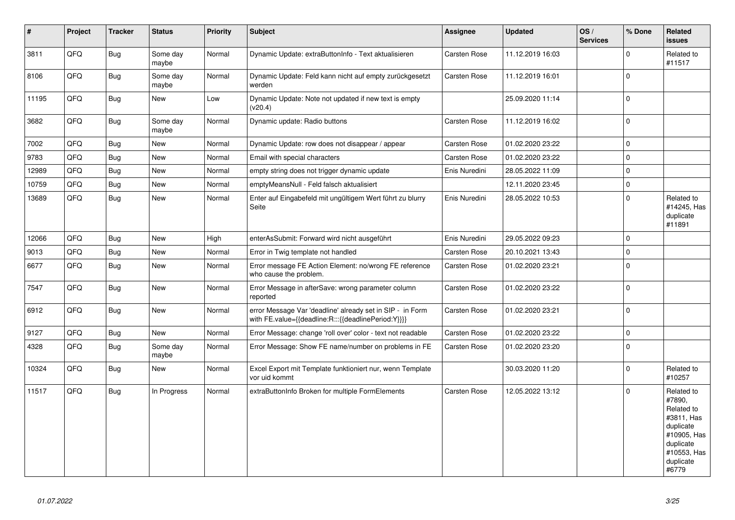| $\vert$ # | Project | <b>Tracker</b> | <b>Status</b>     | <b>Priority</b> | <b>Subject</b>                                                                                                   | Assignee      | <b>Updated</b>   | OS/<br><b>Services</b> | % Done      | Related<br><b>issues</b>                                                                                                       |
|-----------|---------|----------------|-------------------|-----------------|------------------------------------------------------------------------------------------------------------------|---------------|------------------|------------------------|-------------|--------------------------------------------------------------------------------------------------------------------------------|
| 3811      | QFQ     | <b>Bug</b>     | Some day<br>maybe | Normal          | Dynamic Update: extraButtonInfo - Text aktualisieren                                                             | Carsten Rose  | 11.12.2019 16:03 |                        | $\Omega$    | Related to<br>#11517                                                                                                           |
| 8106      | QFQ     | <b>Bug</b>     | Some day<br>maybe | Normal          | Dynamic Update: Feld kann nicht auf empty zurückgesetzt<br>werden                                                | Carsten Rose  | 11.12.2019 16:01 |                        | $\Omega$    |                                                                                                                                |
| 11195     | QFQ     | <b>Bug</b>     | New               | Low             | Dynamic Update: Note not updated if new text is empty<br>(v20.4)                                                 |               | 25.09.2020 11:14 |                        | $\mathbf 0$ |                                                                                                                                |
| 3682      | QFQ     | <b>Bug</b>     | Some day<br>maybe | Normal          | Dynamic update: Radio buttons                                                                                    | Carsten Rose  | 11.12.2019 16:02 |                        | $\Omega$    |                                                                                                                                |
| 7002      | QFQ     | <b>Bug</b>     | New               | Normal          | Dynamic Update: row does not disappear / appear                                                                  | Carsten Rose  | 01.02.2020 23:22 |                        | 0           |                                                                                                                                |
| 9783      | QFQ     | Bug            | New               | Normal          | Email with special characters                                                                                    | Carsten Rose  | 01.02.2020 23:22 |                        | $\Omega$    |                                                                                                                                |
| 12989     | QFQ     | <b>Bug</b>     | New               | Normal          | empty string does not trigger dynamic update                                                                     | Enis Nuredini | 28.05.2022 11:09 |                        | 0           |                                                                                                                                |
| 10759     | QFQ     | <b>Bug</b>     | New               | Normal          | emptyMeansNull - Feld falsch aktualisiert                                                                        |               | 12.11.2020 23:45 |                        | $\Omega$    |                                                                                                                                |
| 13689     | QFQ     | <b>Bug</b>     | New               | Normal          | Enter auf Eingabefeld mit ungültigem Wert führt zu blurry<br>Seite                                               | Enis Nuredini | 28.05.2022 10:53 |                        | $\Omega$    | Related to<br>#14245, Has<br>duplicate<br>#11891                                                                               |
| 12066     | QFQ     | <b>Bug</b>     | New               | High            | enterAsSubmit: Forward wird nicht ausgeführt                                                                     | Enis Nuredini | 29.05.2022 09:23 |                        | $\Omega$    |                                                                                                                                |
| 9013      | QFQ     | Bug            | New               | Normal          | Error in Twig template not handled                                                                               | Carsten Rose  | 20.10.2021 13:43 |                        | $\mathbf 0$ |                                                                                                                                |
| 6677      | QFQ     | Bug            | New               | Normal          | Error message FE Action Element: no/wrong FE reference<br>who cause the problem.                                 | Carsten Rose  | 01.02.2020 23:21 |                        | $\Omega$    |                                                                                                                                |
| 7547      | QFQ     | <b>Bug</b>     | New               | Normal          | Error Message in afterSave: wrong parameter column<br>reported                                                   | Carsten Rose  | 01.02.2020 23:22 |                        | $\Omega$    |                                                                                                                                |
| 6912      | QFQ     | <b>Bug</b>     | New               | Normal          | error Message Var 'deadline' already set in SIP - in Form<br>with FE.value={{deadline:R:::{{deadlinePeriod:Y}}}} | Carsten Rose  | 01.02.2020 23:21 |                        | $\Omega$    |                                                                                                                                |
| 9127      | QFQ     | Bug            | New               | Normal          | Error Message: change 'roll over' color - text not readable                                                      | Carsten Rose  | 01.02.2020 23:22 |                        | $\mathbf 0$ |                                                                                                                                |
| 4328      | QFQ     | <b>Bug</b>     | Some day<br>maybe | Normal          | Error Message: Show FE name/number on problems in FE                                                             | Carsten Rose  | 01.02.2020 23:20 |                        | $\mathbf 0$ |                                                                                                                                |
| 10324     | QFQ     | Bug            | New               | Normal          | Excel Export mit Template funktioniert nur, wenn Template<br>vor uid kommt                                       |               | 30.03.2020 11:20 |                        | 0           | Related to<br>#10257                                                                                                           |
| 11517     | QFQ     | <b>Bug</b>     | In Progress       | Normal          | extraButtonInfo Broken for multiple FormElements                                                                 | Carsten Rose  | 12.05.2022 13:12 |                        | $\Omega$    | Related to<br>#7890,<br>Related to<br>#3811, Has<br>duplicate<br>#10905, Has<br>duplicate<br>#10553, Has<br>duplicate<br>#6779 |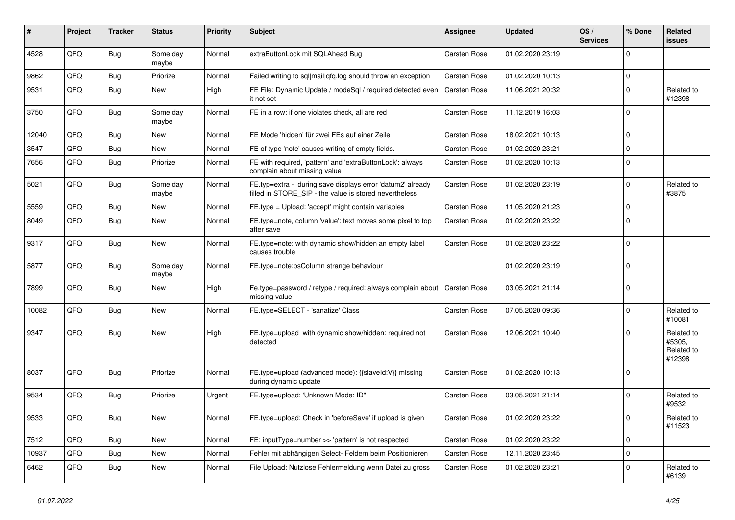| #     | Project        | <b>Tracker</b> | <b>Status</b>     | <b>Priority</b> | Subject                                                                                                              | Assignee            | <b>Updated</b>   | OS/<br><b>Services</b> | % Done      | Related<br><b>issues</b>                     |
|-------|----------------|----------------|-------------------|-----------------|----------------------------------------------------------------------------------------------------------------------|---------------------|------------------|------------------------|-------------|----------------------------------------------|
| 4528  | QFQ            | <b>Bug</b>     | Some day<br>maybe | Normal          | extraButtonLock mit SQLAhead Bug                                                                                     | Carsten Rose        | 01.02.2020 23:19 |                        | $\mathbf 0$ |                                              |
| 9862  | QFQ            | <b>Bug</b>     | Priorize          | Normal          | Failed writing to sql mail qfq.log should throw an exception                                                         | Carsten Rose        | 01.02.2020 10:13 |                        | $\mathbf 0$ |                                              |
| 9531  | QFQ            | <b>Bug</b>     | New               | High            | FE File: Dynamic Update / modeSql / required detected even<br>it not set                                             | <b>Carsten Rose</b> | 11.06.2021 20:32 |                        | $\mathbf 0$ | Related to<br>#12398                         |
| 3750  | QFQ            | Bug            | Some day<br>maybe | Normal          | FE in a row: if one violates check, all are red                                                                      | Carsten Rose        | 11.12.2019 16:03 |                        | $\mathbf 0$ |                                              |
| 12040 | QFQ            | <b>Bug</b>     | New               | Normal          | FE Mode 'hidden' für zwei FEs auf einer Zeile                                                                        | Carsten Rose        | 18.02.2021 10:13 |                        | $\mathbf 0$ |                                              |
| 3547  | QFQ            | <b>Bug</b>     | New               | Normal          | FE of type 'note' causes writing of empty fields.                                                                    | Carsten Rose        | 01.02.2020 23:21 |                        | $\pmb{0}$   |                                              |
| 7656  | QFQ            | Bug            | Priorize          | Normal          | FE with required, 'pattern' and 'extraButtonLock': always<br>complain about missing value                            | Carsten Rose        | 01.02.2020 10:13 |                        | $\mathbf 0$ |                                              |
| 5021  | QFQ            | <b>Bug</b>     | Some day<br>maybe | Normal          | FE.typ=extra - during save displays error 'datum2' already<br>filled in STORE_SIP - the value is stored nevertheless | Carsten Rose        | 01.02.2020 23:19 |                        | $\mathbf 0$ | Related to<br>#3875                          |
| 5559  | QFQ            | <b>Bug</b>     | <b>New</b>        | Normal          | FE.type = Upload: 'accept' might contain variables                                                                   | Carsten Rose        | 11.05.2020 21:23 |                        | $\mathbf 0$ |                                              |
| 8049  | QFQ            | <b>Bug</b>     | <b>New</b>        | Normal          | FE.type=note, column 'value': text moves some pixel to top<br>after save                                             | Carsten Rose        | 01.02.2020 23:22 |                        | $\mathbf 0$ |                                              |
| 9317  | QFQ            | Bug            | New               | Normal          | FE.type=note: with dynamic show/hidden an empty label<br>causes trouble                                              | Carsten Rose        | 01.02.2020 23:22 |                        | $\mathbf 0$ |                                              |
| 5877  | QFQ            | Bug            | Some day<br>maybe | Normal          | FE.type=note:bsColumn strange behaviour                                                                              |                     | 01.02.2020 23:19 |                        | $\mathbf 0$ |                                              |
| 7899  | QFQ            | <b>Bug</b>     | New               | High            | Fe.type=password / retype / required: always complain about   Carsten Rose<br>missing value                          |                     | 03.05.2021 21:14 |                        | $\mathbf 0$ |                                              |
| 10082 | QFQ            | <b>Bug</b>     | <b>New</b>        | Normal          | FE.type=SELECT - 'sanatize' Class                                                                                    | Carsten Rose        | 07.05.2020 09:36 |                        | $\mathbf 0$ | Related to<br>#10081                         |
| 9347  | QFQ            | Bug            | <b>New</b>        | High            | FE.type=upload with dynamic show/hidden: required not<br>detected                                                    | Carsten Rose        | 12.06.2021 10:40 |                        | $\mathbf 0$ | Related to<br>#5305,<br>Related to<br>#12398 |
| 8037  | QFQ            | <b>Bug</b>     | Priorize          | Normal          | FE.type=upload (advanced mode): {{slaveld:V}} missing<br>during dynamic update                                       | Carsten Rose        | 01.02.2020 10:13 |                        | $\mathbf 0$ |                                              |
| 9534  | QFQ            | Bug            | Priorize          | Urgent          | FE.type=upload: 'Unknown Mode: ID"                                                                                   | Carsten Rose        | 03.05.2021 21:14 |                        | $\mathbf 0$ | Related to<br>#9532                          |
| 9533  | $\mathsf{QFQ}$ | <b>Bug</b>     | New               | Normal          | FE.type=upload: Check in 'beforeSave' if upload is given                                                             | Carsten Rose        | 01.02.2020 23:22 |                        | 0           | Related to<br>#11523                         |
| 7512  | QFQ            | <b>Bug</b>     | New               | Normal          | FE: inputType=number >> 'pattern' is not respected                                                                   | Carsten Rose        | 01.02.2020 23:22 |                        | $\mathbf 0$ |                                              |
| 10937 | QFQ            | <b>Bug</b>     | New               | Normal          | Fehler mit abhängigen Select- Feldern beim Positionieren                                                             | Carsten Rose        | 12.11.2020 23:45 |                        | $\pmb{0}$   |                                              |
| 6462  | QFQ            | <b>Bug</b>     | New               | Normal          | File Upload: Nutzlose Fehlermeldung wenn Datei zu gross                                                              | Carsten Rose        | 01.02.2020 23:21 |                        | 0           | Related to<br>#6139                          |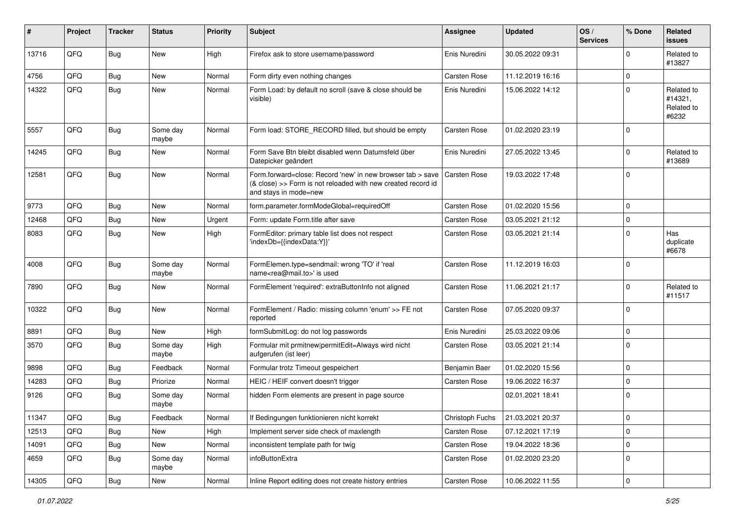| #     | Project        | <b>Tracker</b> | <b>Status</b>     | <b>Priority</b> | <b>Subject</b>                                                                                                                                      | Assignee            | <b>Updated</b>   | OS/<br><b>Services</b> | % Done              | <b>Related</b><br><b>issues</b>              |
|-------|----------------|----------------|-------------------|-----------------|-----------------------------------------------------------------------------------------------------------------------------------------------------|---------------------|------------------|------------------------|---------------------|----------------------------------------------|
| 13716 | QFQ            | <b>Bug</b>     | <b>New</b>        | High            | Firefox ask to store username/password                                                                                                              | Enis Nuredini       | 30.05.2022 09:31 |                        | $\mathbf 0$         | Related to<br>#13827                         |
| 4756  | QFQ            | <b>Bug</b>     | New               | Normal          | Form dirty even nothing changes                                                                                                                     | Carsten Rose        | 11.12.2019 16:16 |                        | $\mathbf 0$         |                                              |
| 14322 | QFQ            | <b>Bug</b>     | New               | Normal          | Form Load: by default no scroll (save & close should be<br>visible)                                                                                 | Enis Nuredini       | 15.06.2022 14:12 |                        | $\mathbf 0$         | Related to<br>#14321,<br>Related to<br>#6232 |
| 5557  | QFQ            | Bug            | Some day<br>maybe | Normal          | Form load: STORE_RECORD filled, but should be empty                                                                                                 | <b>Carsten Rose</b> | 01.02.2020 23:19 |                        | $\Omega$            |                                              |
| 14245 | QFQ            | Bug            | New               | Normal          | Form Save Btn bleibt disabled wenn Datumsfeld über<br>Datepicker geändert                                                                           | Enis Nuredini       | 27.05.2022 13:45 |                        | $\mathbf 0$         | Related to<br>#13689                         |
| 12581 | QFQ            | <b>Bug</b>     | <b>New</b>        | Normal          | Form.forward=close: Record 'new' in new browser tab > save<br>(& close) >> Form is not reloaded with new created record id<br>and stays in mode=new | Carsten Rose        | 19.03.2022 17:48 |                        | $\mathbf 0$         |                                              |
| 9773  | QFQ            | <b>Bug</b>     | <b>New</b>        | Normal          | form.parameter.formModeGlobal=requiredOff                                                                                                           | Carsten Rose        | 01.02.2020 15:56 |                        | $\mathbf 0$         |                                              |
| 12468 | QFQ            | <b>Bug</b>     | New               | Urgent          | Form: update Form.title after save                                                                                                                  | Carsten Rose        | 03.05.2021 21:12 |                        | $\mathbf 0$         |                                              |
| 8083  | QFQ            | <b>Bug</b>     | New               | High            | FormEditor: primary table list does not respect<br>'indexDb={{indexData:Y}}'                                                                        | Carsten Rose        | 03.05.2021 21:14 |                        | $\Omega$            | Has<br>duplicate<br>#6678                    |
| 4008  | QFQ            | <b>Bug</b>     | Some day<br>maybe | Normal          | FormElemen.type=sendmail: wrong 'TO' if 'real<br>name <rea@mail.to>' is used</rea@mail.to>                                                          | Carsten Rose        | 11.12.2019 16:03 |                        | $\mathbf 0$         |                                              |
| 7890  | QFQ            | Bug            | New               | Normal          | FormElement 'required': extraButtonInfo not aligned                                                                                                 | Carsten Rose        | 11.06.2021 21:17 |                        | $\mathbf 0$         | Related to<br>#11517                         |
| 10322 | QFQ            | <b>Bug</b>     | New               | Normal          | FormElement / Radio: missing column 'enum' >> FE not<br>reported                                                                                    | Carsten Rose        | 07.05.2020 09:37 |                        | $\mathbf 0$         |                                              |
| 8891  | QFQ            | <b>Bug</b>     | New               | High            | formSubmitLog: do not log passwords                                                                                                                 | Enis Nuredini       | 25.03.2022 09:06 |                        | $\mathbf 0$         |                                              |
| 3570  | QFQ            | <b>Bug</b>     | Some day<br>maybe | High            | Formular mit prmitnew permitEdit=Always wird nicht<br>aufgerufen (ist leer)                                                                         | Carsten Rose        | 03.05.2021 21:14 |                        | $\mathbf 0$         |                                              |
| 9898  | QFQ            | Bug            | Feedback          | Normal          | Formular trotz Timeout gespeichert                                                                                                                  | Benjamin Baer       | 01.02.2020 15:56 |                        | $\mathbf 0$         |                                              |
| 14283 | QFQ            | <b>Bug</b>     | Priorize          | Normal          | HEIC / HEIF convert doesn't trigger                                                                                                                 | Carsten Rose        | 19.06.2022 16:37 |                        | $\mathbf 0$         |                                              |
| 9126  | QFQ            | <b>Bug</b>     | Some day<br>maybe | Normal          | hidden Form elements are present in page source                                                                                                     |                     | 02.01.2021 18:41 |                        | $\mathbf 0$         |                                              |
| 11347 | $\mathsf{QFQ}$ | Bug            | Feedback          | Normal          | If Bedingungen funktionieren nicht korrekt                                                                                                          | Christoph Fuchs     | 21.03.2021 20:37 |                        | $\pmb{0}$           |                                              |
| 12513 | QFQ            | <b>Bug</b>     | New               | High            | Implement server side check of maxlength                                                                                                            | Carsten Rose        | 07.12.2021 17:19 |                        | $\mathsf{O}\xspace$ |                                              |
| 14091 | QFQ            | Bug            | New               | Normal          | inconsistent template path for twig                                                                                                                 | Carsten Rose        | 19.04.2022 18:36 |                        | $\pmb{0}$           |                                              |
| 4659  | QFQ            | Bug            | Some day<br>maybe | Normal          | infoButtonExtra                                                                                                                                     | Carsten Rose        | 01.02.2020 23:20 |                        | $\pmb{0}$           |                                              |
| 14305 | QFQ            | <b>Bug</b>     | New               | Normal          | Inline Report editing does not create history entries                                                                                               | Carsten Rose        | 10.06.2022 11:55 |                        | $\pmb{0}$           |                                              |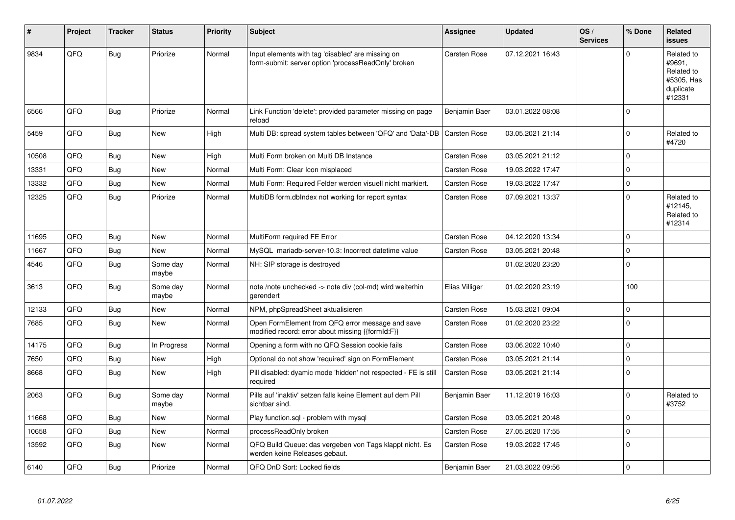| #     | Project | <b>Tracker</b> | <b>Status</b>     | <b>Priority</b> | <b>Subject</b>                                                                                           | <b>Assignee</b>     | <b>Updated</b>   | OS/<br><b>Services</b> | % Done      | Related<br><b>issues</b>                                                |
|-------|---------|----------------|-------------------|-----------------|----------------------------------------------------------------------------------------------------------|---------------------|------------------|------------------------|-------------|-------------------------------------------------------------------------|
| 9834  | QFQ     | <b>Bug</b>     | Priorize          | Normal          | Input elements with tag 'disabled' are missing on<br>form-submit: server option 'processReadOnly' broken | Carsten Rose        | 07.12.2021 16:43 |                        | $\Omega$    | Related to<br>#9691.<br>Related to<br>#5305, Has<br>duplicate<br>#12331 |
| 6566  | QFQ     | Bug            | Priorize          | Normal          | Link Function 'delete': provided parameter missing on page<br>reload                                     | Benjamin Baer       | 03.01.2022 08:08 |                        | $\mathbf 0$ |                                                                         |
| 5459  | QFQ     | <b>Bug</b>     | <b>New</b>        | High            | Multi DB: spread system tables between 'QFQ' and 'Data'-DB                                               | <b>Carsten Rose</b> | 03.05.2021 21:14 |                        | $\Omega$    | Related to<br>#4720                                                     |
| 10508 | QFQ     | Bug            | New               | High            | Multi Form broken on Multi DB Instance                                                                   | <b>Carsten Rose</b> | 03.05.2021 21:12 |                        | $\mathbf 0$ |                                                                         |
| 13331 | QFQ     | Bug            | New               | Normal          | Multi Form: Clear Icon misplaced                                                                         | Carsten Rose        | 19.03.2022 17:47 |                        | $\Omega$    |                                                                         |
| 13332 | QFQ     | <b>Bug</b>     | New               | Normal          | Multi Form: Required Felder werden visuell nicht markiert.                                               | Carsten Rose        | 19.03.2022 17:47 |                        | $\mathbf 0$ |                                                                         |
| 12325 | QFQ     | Bug            | Priorize          | Normal          | MultiDB form.dblndex not working for report syntax                                                       | Carsten Rose        | 07.09.2021 13:37 |                        | $\Omega$    | Related to<br>#12145,<br>Related to<br>#12314                           |
| 11695 | QFQ     | Bug            | <b>New</b>        | Normal          | MultiForm required FE Error                                                                              | Carsten Rose        | 04.12.2020 13:34 |                        | $\mathbf 0$ |                                                                         |
| 11667 | QFQ     | Bug            | <b>New</b>        | Normal          | MySQL mariadb-server-10.3: Incorrect datetime value                                                      | <b>Carsten Rose</b> | 03.05.2021 20:48 |                        | $\mathbf 0$ |                                                                         |
| 4546  | QFQ     | <b>Bug</b>     | Some day<br>maybe | Normal          | NH: SIP storage is destroyed                                                                             |                     | 01.02.2020 23:20 |                        | $\mathbf 0$ |                                                                         |
| 3613  | QFQ     | <b>Bug</b>     | Some day<br>maybe | Normal          | note /note unchecked -> note div (col-md) wird weiterhin<br>gerendert                                    | Elias Villiger      | 01.02.2020 23:19 |                        | 100         |                                                                         |
| 12133 | QFQ     | Bug            | <b>New</b>        | Normal          | NPM, phpSpreadSheet aktualisieren                                                                        | <b>Carsten Rose</b> | 15.03.2021 09:04 |                        | $\mathbf 0$ |                                                                         |
| 7685  | QFQ     | <b>Bug</b>     | <b>New</b>        | Normal          | Open FormElement from QFQ error message and save<br>modified record: error about missing {{formId:F}}    | <b>Carsten Rose</b> | 01.02.2020 23:22 |                        | $\Omega$    |                                                                         |
| 14175 | QFQ     | <b>Bug</b>     | In Progress       | Normal          | Opening a form with no QFQ Session cookie fails                                                          | Carsten Rose        | 03.06.2022 10:40 |                        | $\Omega$    |                                                                         |
| 7650  | QFQ     | <b>Bug</b>     | <b>New</b>        | High            | Optional do not show 'required' sign on FormElement                                                      | Carsten Rose        | 03.05.2021 21:14 |                        | $\mathbf 0$ |                                                                         |
| 8668  | QFQ     | Bug            | New               | High            | Pill disabled: dyamic mode 'hidden' not respected - FE is still<br>required                              | <b>Carsten Rose</b> | 03.05.2021 21:14 |                        | $\mathbf 0$ |                                                                         |
| 2063  | QFQ     | Bug            | Some day<br>maybe | Normal          | Pills auf 'inaktiv' setzen falls keine Element auf dem Pill<br>sichtbar sind.                            | Benjamin Baer       | 11.12.2019 16:03 |                        | $\mathbf 0$ | Related to<br>#3752                                                     |
| 11668 | QFQ     | Bug            | <b>New</b>        | Normal          | Play function.sql - problem with mysql                                                                   | Carsten Rose        | 03.05.2021 20:48 |                        | $\mathbf 0$ |                                                                         |
| 10658 | QFQ     | <b>Bug</b>     | <b>New</b>        | Normal          | processReadOnly broken                                                                                   | Carsten Rose        | 27.05.2020 17:55 |                        | $\Omega$    |                                                                         |
| 13592 | QFQ     | <b>Bug</b>     | New               | Normal          | QFQ Build Queue: das vergeben von Tags klappt nicht. Es<br>werden keine Releases gebaut.                 | Carsten Rose        | 19.03.2022 17:45 |                        | $\mathbf 0$ |                                                                         |
| 6140  | QFQ     | Bug            | Priorize          | Normal          | QFQ DnD Sort: Locked fields                                                                              | Benjamin Baer       | 21.03.2022 09:56 |                        | $\Omega$    |                                                                         |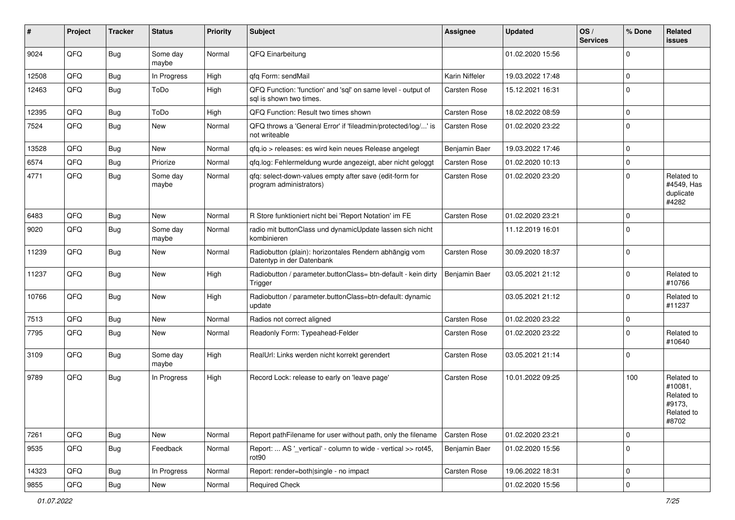| #     | Project | <b>Tracker</b> | <b>Status</b>     | <b>Priority</b> | <b>Subject</b>                                                                          | <b>Assignee</b> | <b>Updated</b>   | OS/<br><b>Services</b> | % Done         | Related<br><b>issues</b>                                             |
|-------|---------|----------------|-------------------|-----------------|-----------------------------------------------------------------------------------------|-----------------|------------------|------------------------|----------------|----------------------------------------------------------------------|
| 9024  | QFQ     | Bug            | Some day<br>maybe | Normal          | QFQ Einarbeitung                                                                        |                 | 01.02.2020 15:56 |                        | $\mathbf 0$    |                                                                      |
| 12508 | QFQ     | <b>Bug</b>     | In Progress       | High            | qfq Form: sendMail                                                                      | Karin Niffeler  | 19.03.2022 17:48 |                        | $\mathbf 0$    |                                                                      |
| 12463 | QFQ     | <b>Bug</b>     | ToDo              | High            | QFQ Function: 'function' and 'sql' on same level - output of<br>sal is shown two times. | Carsten Rose    | 15.12.2021 16:31 |                        | $\mathbf 0$    |                                                                      |
| 12395 | QFQ     | <b>Bug</b>     | ToDo              | High            | QFQ Function: Result two times shown                                                    | Carsten Rose    | 18.02.2022 08:59 |                        | 0              |                                                                      |
| 7524  | QFQ     | Bug            | New               | Normal          | QFQ throws a 'General Error' if 'fileadmin/protected/log/' is<br>not writeable          | Carsten Rose    | 01.02.2020 23:22 |                        | $\mathbf 0$    |                                                                      |
| 13528 | QFQ     | <b>Bug</b>     | New               | Normal          | qfq.io > releases: es wird kein neues Release angelegt                                  | Benjamin Baer   | 19.03.2022 17:46 |                        | $\mathbf 0$    |                                                                      |
| 6574  | QFQ     | <b>Bug</b>     | Priorize          | Normal          | qfq.log: Fehlermeldung wurde angezeigt, aber nicht geloggt                              | Carsten Rose    | 01.02.2020 10:13 |                        | $\mathbf 0$    |                                                                      |
| 4771  | QFQ     | <b>Bug</b>     | Some day<br>maybe | Normal          | qfq: select-down-values empty after save (edit-form for<br>program administrators)      | Carsten Rose    | 01.02.2020 23:20 |                        | 0              | Related to<br>#4549, Has<br>duplicate<br>#4282                       |
| 6483  | QFQ     | <b>Bug</b>     | <b>New</b>        | Normal          | R Store funktioniert nicht bei 'Report Notation' im FE                                  | Carsten Rose    | 01.02.2020 23:21 |                        | $\mathbf 0$    |                                                                      |
| 9020  | QFQ     | <b>Bug</b>     | Some day<br>maybe | Normal          | radio mit buttonClass und dynamicUpdate lassen sich nicht<br>kombinieren                |                 | 11.12.2019 16:01 |                        | $\mathbf 0$    |                                                                      |
| 11239 | QFQ     | Bug            | New               | Normal          | Radiobutton (plain): horizontales Rendern abhängig vom<br>Datentyp in der Datenbank     | Carsten Rose    | 30.09.2020 18:37 |                        | 0              |                                                                      |
| 11237 | QFQ     | Bug            | <b>New</b>        | High            | Radiobutton / parameter.buttonClass= btn-default - kein dirty<br>Trigger                | Benjamin Baer   | 03.05.2021 21:12 |                        | $\mathbf 0$    | Related to<br>#10766                                                 |
| 10766 | QFQ     | Bug            | New               | High            | Radiobutton / parameter.buttonClass=btn-default: dynamic<br>update                      |                 | 03.05.2021 21:12 |                        | $\mathbf 0$    | Related to<br>#11237                                                 |
| 7513  | QFQ     | <b>Bug</b>     | <b>New</b>        | Normal          | Radios not correct aligned                                                              | Carsten Rose    | 01.02.2020 23:22 |                        | $\mathbf 0$    |                                                                      |
| 7795  | QFQ     | Bug            | New               | Normal          | Readonly Form: Typeahead-Felder                                                         | Carsten Rose    | 01.02.2020 23:22 |                        | $\mathbf 0$    | Related to<br>#10640                                                 |
| 3109  | QFQ     | <b>Bug</b>     | Some day<br>maybe | High            | RealUrl: Links werden nicht korrekt gerendert                                           | Carsten Rose    | 03.05.2021 21:14 |                        | $\Omega$       |                                                                      |
| 9789  | QFQ     | Bug            | In Progress       | High            | Record Lock: release to early on 'leave page'                                           | Carsten Rose    | 10.01.2022 09:25 |                        | 100            | Related to<br>#10081,<br>Related to<br>#9173.<br>Related to<br>#8702 |
| 7261  | QFQ     | <b>Bug</b>     | New               | Normal          | Report pathFilename for user without path, only the filename                            | Carsten Rose    | 01.02.2020 23:21 |                        | 0              |                                                                      |
| 9535  | QFQ     | Bug            | Feedback          | Normal          | Report:  AS ' vertical' - column to wide - vertical >> rot45,<br>rot <sub>90</sub>      | Benjamin Baer   | 01.02.2020 15:56 |                        | 0              |                                                                      |
| 14323 | QFQ     | <b>Bug</b>     | In Progress       | Normal          | Report: render=both single - no impact                                                  | Carsten Rose    | 19.06.2022 18:31 |                        | 0              |                                                                      |
| 9855  | QFQ     | Bug            | New               | Normal          | <b>Required Check</b>                                                                   |                 | 01.02.2020 15:56 |                        | $\overline{0}$ |                                                                      |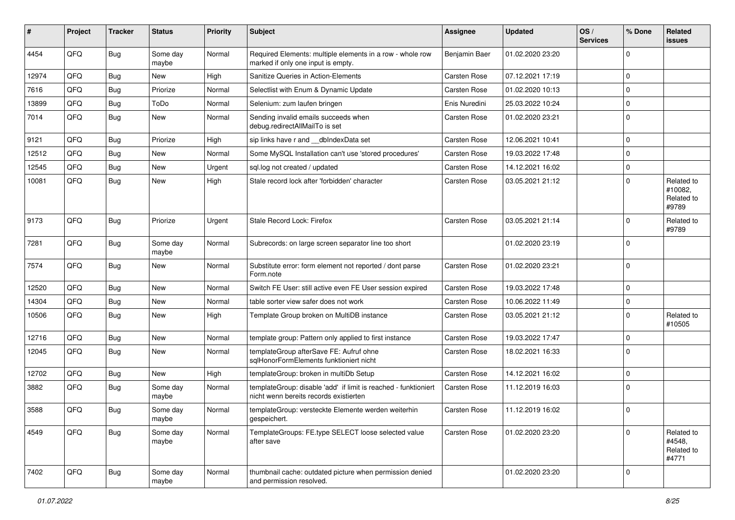| #     | Project | <b>Tracker</b> | <b>Status</b>     | <b>Priority</b> | <b>Subject</b>                                                                                            | <b>Assignee</b> | <b>Updated</b>   | OS/<br><b>Services</b> | % Done      | Related<br>issues                            |
|-------|---------|----------------|-------------------|-----------------|-----------------------------------------------------------------------------------------------------------|-----------------|------------------|------------------------|-------------|----------------------------------------------|
| 4454  | QFQ     | Bug            | Some day<br>maybe | Normal          | Required Elements: multiple elements in a row - whole row<br>marked if only one input is empty.           | Benjamin Baer   | 01.02.2020 23:20 |                        | $\Omega$    |                                              |
| 12974 | QFQ     | <b>Bug</b>     | New               | High            | Sanitize Queries in Action-Elements                                                                       | Carsten Rose    | 07.12.2021 17:19 |                        | $\Omega$    |                                              |
| 7616  | QFQ     | Bug            | Priorize          | Normal          | Selectlist with Enum & Dynamic Update                                                                     | Carsten Rose    | 01.02.2020 10:13 |                        | $\Omega$    |                                              |
| 13899 | QFQ     | Bug            | ToDo              | Normal          | Selenium: zum laufen bringen                                                                              | Enis Nuredini   | 25.03.2022 10:24 |                        | $\mathbf 0$ |                                              |
| 7014  | QFQ     | Bug            | New               | Normal          | Sending invalid emails succeeds when<br>debug.redirectAllMailTo is set                                    | Carsten Rose    | 01.02.2020 23:21 |                        | $\Omega$    |                                              |
| 9121  | QFQ     | Bug            | Priorize          | High            | sip links have r and __dbIndexData set                                                                    | Carsten Rose    | 12.06.2021 10:41 |                        | $\Omega$    |                                              |
| 12512 | QFQ     | <b>Bug</b>     | New               | Normal          | Some MySQL Installation can't use 'stored procedures'                                                     | Carsten Rose    | 19.03.2022 17:48 |                        | $\Omega$    |                                              |
| 12545 | QFQ     | Bug            | New               | Urgent          | sql.log not created / updated                                                                             | Carsten Rose    | 14.12.2021 16:02 |                        | $\Omega$    |                                              |
| 10081 | QFQ     | Bug            | New               | High            | Stale record lock after 'forbidden' character                                                             | Carsten Rose    | 03.05.2021 21:12 |                        | $\Omega$    | Related to<br>#10082,<br>Related to<br>#9789 |
| 9173  | QFQ     | Bug            | Priorize          | Urgent          | Stale Record Lock: Firefox                                                                                | Carsten Rose    | 03.05.2021 21:14 |                        | $\Omega$    | Related to<br>#9789                          |
| 7281  | QFQ     | Bug            | Some day<br>maybe | Normal          | Subrecords: on large screen separator line too short                                                      |                 | 01.02.2020 23:19 |                        | $\Omega$    |                                              |
| 7574  | QFQ     | Bug            | New               | Normal          | Substitute error: form element not reported / dont parse<br>Form.note                                     | Carsten Rose    | 01.02.2020 23:21 |                        | $\Omega$    |                                              |
| 12520 | QFQ     | Bug            | New               | Normal          | Switch FE User: still active even FE User session expired                                                 | Carsten Rose    | 19.03.2022 17:48 |                        | $\mathbf 0$ |                                              |
| 14304 | QFQ     | <b>Bug</b>     | New               | Normal          | table sorter view safer does not work                                                                     | Carsten Rose    | 10.06.2022 11:49 |                        | $\mathbf 0$ |                                              |
| 10506 | QFQ     | Bug            | New               | High            | Template Group broken on MultiDB instance                                                                 | Carsten Rose    | 03.05.2021 21:12 |                        | $\Omega$    | Related to<br>#10505                         |
| 12716 | QFQ     | <b>Bug</b>     | New               | Normal          | template group: Pattern only applied to first instance                                                    | Carsten Rose    | 19.03.2022 17:47 |                        | $\mathbf 0$ |                                              |
| 12045 | QFQ     | Bug            | New               | Normal          | templateGroup afterSave FE: Aufruf ohne<br>sqlHonorFormElements funktioniert nicht                        | Carsten Rose    | 18.02.2021 16:33 |                        | $\Omega$    |                                              |
| 12702 | QFQ     | <b>Bug</b>     | <b>New</b>        | High            | templateGroup: broken in multiDb Setup                                                                    | Carsten Rose    | 14.12.2021 16:02 |                        | $\Omega$    |                                              |
| 3882  | QFQ     | <b>Bug</b>     | Some day<br>maybe | Normal          | templateGroup: disable 'add' if limit is reached - funktioniert<br>nicht wenn bereits records existierten | Carsten Rose    | 11.12.2019 16:03 |                        | $\Omega$    |                                              |
| 3588  | QFQ     | <b>Bug</b>     | Some day<br>maybe | Normal          | templateGroup: versteckte Elemente werden weiterhin<br>gespeichert.                                       | Carsten Rose    | 11.12.2019 16:02 |                        | $\mathbf 0$ |                                              |
| 4549  | QFQ     | Bug            | Some day<br>maybe | Normal          | TemplateGroups: FE.type SELECT loose selected value<br>after save                                         | Carsten Rose    | 01.02.2020 23:20 |                        | $\Omega$    | Related to<br>#4548,<br>Related to<br>#4771  |
| 7402  | QFQ     | Bug            | Some day<br>maybe | Normal          | thumbnail cache: outdated picture when permission denied<br>and permission resolved.                      |                 | 01.02.2020 23:20 |                        | $\mathbf 0$ |                                              |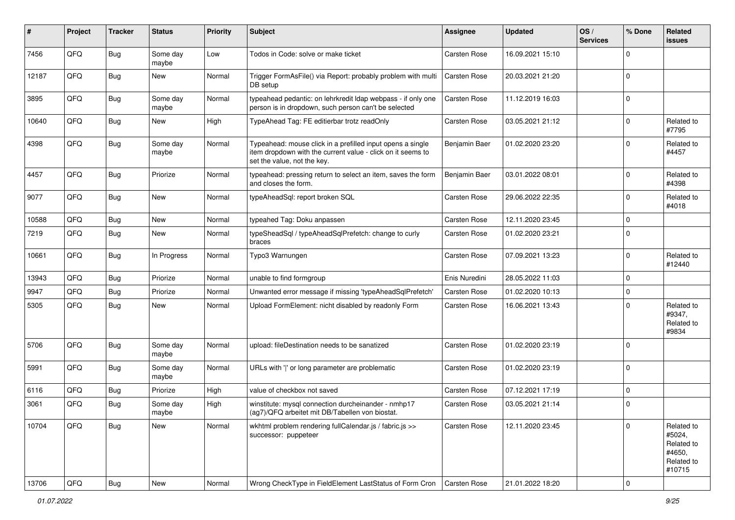| $\sharp$ | Project | <b>Tracker</b> | <b>Status</b>     | <b>Priority</b> | <b>Subject</b>                                                                                                                                           | <b>Assignee</b> | <b>Updated</b>   | OS/<br><b>Services</b> | % Done      | Related<br><b>issues</b>                                             |
|----------|---------|----------------|-------------------|-----------------|----------------------------------------------------------------------------------------------------------------------------------------------------------|-----------------|------------------|------------------------|-------------|----------------------------------------------------------------------|
| 7456     | QFQ     | <b>Bug</b>     | Some day<br>maybe | Low             | Todos in Code: solve or make ticket                                                                                                                      | Carsten Rose    | 16.09.2021 15:10 |                        | $\Omega$    |                                                                      |
| 12187    | QFQ     | <b>Bug</b>     | New               | Normal          | Trigger FormAsFile() via Report: probably problem with multi<br>DB setup                                                                                 | Carsten Rose    | 20.03.2021 21:20 |                        | $\mathbf 0$ |                                                                      |
| 3895     | QFQ     | <b>Bug</b>     | Some day<br>maybe | Normal          | typeahead pedantic: on lehrkredit Idap webpass - if only one<br>person is in dropdown, such person can't be selected                                     | Carsten Rose    | 11.12.2019 16:03 |                        | $\mathbf 0$ |                                                                      |
| 10640    | QFQ     | <b>Bug</b>     | New               | High            | TypeAhead Tag: FE editierbar trotz readOnly                                                                                                              | Carsten Rose    | 03.05.2021 21:12 |                        | 0           | Related to<br>#7795                                                  |
| 4398     | QFQ     | <b>Bug</b>     | Some day<br>maybe | Normal          | Typeahead: mouse click in a prefilled input opens a single<br>item dropdown with the current value - click on it seems to<br>set the value, not the key. | Benjamin Baer   | 01.02.2020 23:20 |                        | $\mathbf 0$ | Related to<br>#4457                                                  |
| 4457     | QFQ     | <b>Bug</b>     | Priorize          | Normal          | typeahead: pressing return to select an item, saves the form<br>and closes the form.                                                                     | Benjamin Baer   | 03.01.2022 08:01 |                        | $\mathbf 0$ | Related to<br>#4398                                                  |
| 9077     | QFQ     | Bug            | New               | Normal          | typeAheadSql: report broken SQL                                                                                                                          | Carsten Rose    | 29.06.2022 22:35 |                        | $\mathbf 0$ | Related to<br>#4018                                                  |
| 10588    | QFQ     | <b>Bug</b>     | New               | Normal          | typeahed Tag: Doku anpassen                                                                                                                              | Carsten Rose    | 12.11.2020 23:45 |                        | $\mathbf 0$ |                                                                      |
| 7219     | QFQ     | <b>Bug</b>     | New               | Normal          | typeSheadSql / typeAheadSqlPrefetch: change to curly<br>braces                                                                                           | Carsten Rose    | 01.02.2020 23:21 |                        | $\mathbf 0$ |                                                                      |
| 10661    | QFQ     | Bug            | In Progress       | Normal          | Typo3 Warnungen                                                                                                                                          | Carsten Rose    | 07.09.2021 13:23 |                        | $\mathbf 0$ | Related to<br>#12440                                                 |
| 13943    | QFQ     | <b>Bug</b>     | Priorize          | Normal          | unable to find formgroup                                                                                                                                 | Enis Nuredini   | 28.05.2022 11:03 |                        | $\mathbf 0$ |                                                                      |
| 9947     | QFQ     | <b>Bug</b>     | Priorize          | Normal          | Unwanted error message if missing 'typeAheadSqlPrefetch'                                                                                                 | Carsten Rose    | 01.02.2020 10:13 |                        | $\mathbf 0$ |                                                                      |
| 5305     | QFQ     | <b>Bug</b>     | New               | Normal          | Upload FormElement: nicht disabled by readonly Form                                                                                                      | Carsten Rose    | 16.06.2021 13:43 |                        | $\Omega$    | Related to<br>#9347,<br>Related to<br>#9834                          |
| 5706     | QFQ     | Bug            | Some day<br>maybe | Normal          | upload: fileDestination needs to be sanatized                                                                                                            | Carsten Rose    | 01.02.2020 23:19 |                        | $\Omega$    |                                                                      |
| 5991     | QFQ     | <b>Bug</b>     | Some day<br>maybe | Normal          | URLs with ' ' or long parameter are problematic                                                                                                          | Carsten Rose    | 01.02.2020 23:19 |                        | $\mathbf 0$ |                                                                      |
| 6116     | QFQ     | Bug            | Priorize          | High            | value of checkbox not saved                                                                                                                              | Carsten Rose    | 07.12.2021 17:19 |                        | $\mathbf 0$ |                                                                      |
| 3061     | QFQ     | Bug            | Some day<br>maybe | High            | winstitute: mysql connection durcheinander - nmhp17<br>(ag7)/QFQ arbeitet mit DB/Tabellen von biostat.                                                   | Carsten Rose    | 03.05.2021 21:14 |                        | $\mathbf 0$ |                                                                      |
| 10704    | QFQ     | <b>Bug</b>     | New               | Normal          | wkhtml problem rendering fullCalendar.js / fabric.js >><br>successor: puppeteer                                                                          | Carsten Rose    | 12.11.2020 23:45 |                        | $\mathbf 0$ | Related to<br>#5024,<br>Related to<br>#4650,<br>Related to<br>#10715 |
| 13706    | QFQ     | <b>Bug</b>     | New               | Normal          | Wrong CheckType in FieldElement LastStatus of Form Cron                                                                                                  | Carsten Rose    | 21.01.2022 18:20 |                        | $\pmb{0}$   |                                                                      |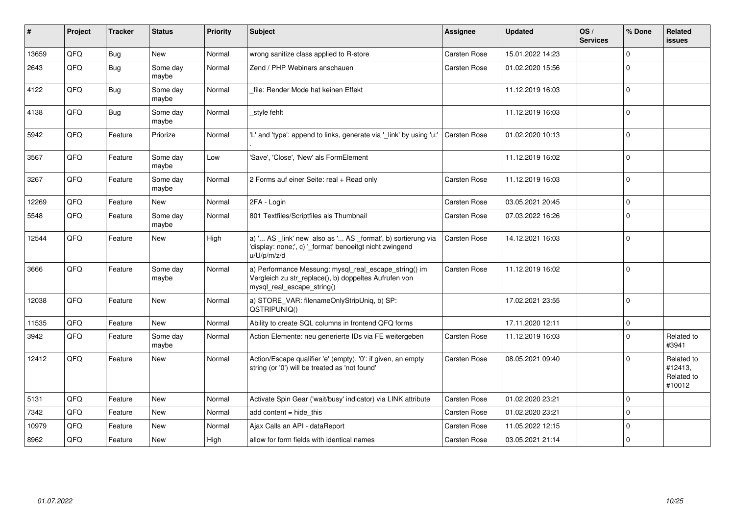| ∦     | Project | <b>Tracker</b> | <b>Status</b>     | <b>Priority</b> | Subject                                                                                                                                      | <b>Assignee</b> | <b>Updated</b>   | OS/<br><b>Services</b> | % Done       | Related<br><b>issues</b>                      |
|-------|---------|----------------|-------------------|-----------------|----------------------------------------------------------------------------------------------------------------------------------------------|-----------------|------------------|------------------------|--------------|-----------------------------------------------|
| 13659 | QFQ     | Bug            | New               | Normal          | wrong sanitize class applied to R-store                                                                                                      | Carsten Rose    | 15.01.2022 14:23 |                        | <sup>0</sup> |                                               |
| 2643  | QFQ     | Bug            | Some day<br>maybe | Normal          | Zend / PHP Webinars anschauen                                                                                                                | Carsten Rose    | 01.02.2020 15:56 |                        | $\Omega$     |                                               |
| 4122  | QFQ     | <b>Bug</b>     | Some day<br>maybe | Normal          | file: Render Mode hat keinen Effekt                                                                                                          |                 | 11.12.2019 16:03 |                        | $\Omega$     |                                               |
| 4138  | QFQ     | Bug            | Some day<br>maybe | Normal          | _style fehlt                                                                                                                                 |                 | 11.12.2019 16:03 |                        | $\Omega$     |                                               |
| 5942  | QFQ     | Feature        | Priorize          | Normal          | 'L' and 'type': append to links, generate via '_link' by using 'u:'                                                                          | Carsten Rose    | 01.02.2020 10:13 |                        | $\Omega$     |                                               |
| 3567  | QFQ     | Feature        | Some day<br>maybe | Low             | 'Save', 'Close', 'New' als FormElement                                                                                                       |                 | 11.12.2019 16:02 |                        | $\Omega$     |                                               |
| 3267  | QFQ     | Feature        | Some day<br>maybe | Normal          | 2 Forms auf einer Seite: real + Read only                                                                                                    | Carsten Rose    | 11.12.2019 16:03 |                        | $\Omega$     |                                               |
| 12269 | QFQ     | Feature        | <b>New</b>        | Normal          | 2FA - Login                                                                                                                                  | Carsten Rose    | 03.05.2021 20:45 |                        | $\Omega$     |                                               |
| 5548  | QFQ     | Feature        | Some day<br>maybe | Normal          | 801 Textfiles/Scriptfiles als Thumbnail                                                                                                      | Carsten Rose    | 07.03.2022 16:26 |                        | $\Omega$     |                                               |
| 12544 | QFQ     | Feature        | <b>New</b>        | High            | a) ' AS _link' new also as ' AS _format', b) sortierung via<br>'display: none;', c) '_format' benoeitgt nicht zwingend<br>u/U/p/m/z/d        | Carsten Rose    | 14.12.2021 16:03 |                        | $\Omega$     |                                               |
| 3666  | QFQ     | Feature        | Some day<br>maybe | Normal          | a) Performance Messung: mysql_real_escape_string() im<br>Vergleich zu str_replace(), b) doppeltes Aufrufen von<br>mysql_real_escape_string() | Carsten Rose    | 11.12.2019 16:02 |                        | $\Omega$     |                                               |
| 12038 | QFQ     | Feature        | <b>New</b>        | Normal          | a) STORE_VAR: filenameOnlyStripUniq, b) SP:<br>QSTRIPUNIQ()                                                                                  |                 | 17.02.2021 23:55 |                        | $\Omega$     |                                               |
| 11535 | QFQ     | Feature        | <b>New</b>        | Normal          | Ability to create SQL columns in frontend QFQ forms                                                                                          |                 | 17.11.2020 12:11 |                        | $\Omega$     |                                               |
| 3942  | QFQ     | Feature        | Some day<br>maybe | Normal          | Action Elemente: neu generierte IDs via FE weitergeben                                                                                       | Carsten Rose    | 11.12.2019 16:03 |                        | $\Omega$     | Related to<br>#3941                           |
| 12412 | QFQ     | Feature        | New               | Normal          | Action/Escape qualifier 'e' (empty), '0': if given, an empty<br>string (or '0') will be treated as 'not found'                               | Carsten Rose    | 08.05.2021 09:40 |                        | $\Omega$     | Related to<br>#12413,<br>Related to<br>#10012 |
| 5131  | QFQ     | Feature        | <b>New</b>        | Normal          | Activate Spin Gear ('wait/busy' indicator) via LINK attribute                                                                                | Carsten Rose    | 01.02.2020 23:21 |                        | $\Omega$     |                                               |
| 7342  | QFQ     | Feature        | <b>New</b>        | Normal          | add content $=$ hide this                                                                                                                    | Carsten Rose    | 01.02.2020 23:21 |                        | $\Omega$     |                                               |
| 10979 | QFQ     | Feature        | <b>New</b>        | Normal          | Ajax Calls an API - dataReport                                                                                                               | Carsten Rose    | 11.05.2022 12:15 |                        | $\Omega$     |                                               |
| 8962  | QFQ     | Feature        | <b>New</b>        | High            | allow for form fields with identical names                                                                                                   | Carsten Rose    | 03.05.2021 21:14 |                        | $\Omega$     |                                               |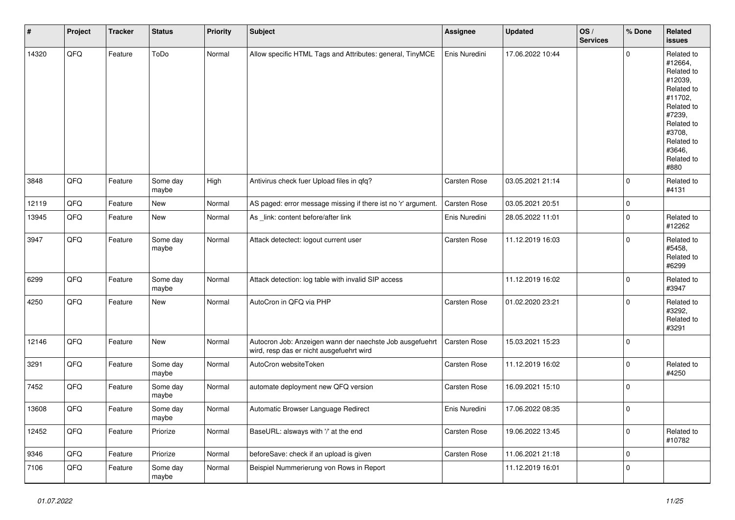| $\vert$ # | Project | <b>Tracker</b> | <b>Status</b>     | <b>Priority</b> | <b>Subject</b>                                                                                       | Assignee            | <b>Updated</b>   | OS/<br><b>Services</b> | % Done       | Related<br><b>issues</b>                                                                                                                                              |
|-----------|---------|----------------|-------------------|-----------------|------------------------------------------------------------------------------------------------------|---------------------|------------------|------------------------|--------------|-----------------------------------------------------------------------------------------------------------------------------------------------------------------------|
| 14320     | QFQ     | Feature        | ToDo              | Normal          | Allow specific HTML Tags and Attributes: general, TinyMCE                                            | Enis Nuredini       | 17.06.2022 10:44 |                        | $\mathbf 0$  | Related to<br>#12664,<br>Related to<br>#12039,<br>Related to<br>#11702,<br>Related to<br>#7239,<br>Related to<br>#3708.<br>Related to<br>#3646,<br>Related to<br>#880 |
| 3848      | QFQ     | Feature        | Some day<br>maybe | High            | Antivirus check fuer Upload files in qfq?                                                            | Carsten Rose        | 03.05.2021 21:14 |                        | $\mathbf{0}$ | Related to<br>#4131                                                                                                                                                   |
| 12119     | QFQ     | Feature        | <b>New</b>        | Normal          | AS paged: error message missing if there ist no 'r' argument.                                        | Carsten Rose        | 03.05.2021 20:51 |                        | $\mathbf 0$  |                                                                                                                                                                       |
| 13945     | QFQ     | Feature        | New               | Normal          | As _link: content before/after link                                                                  | Enis Nuredini       | 28.05.2022 11:01 |                        | $\pmb{0}$    | Related to<br>#12262                                                                                                                                                  |
| 3947      | QFQ     | Feature        | Some day<br>maybe | Normal          | Attack detectect: logout current user                                                                | Carsten Rose        | 11.12.2019 16:03 |                        | $\mathsf 0$  | Related to<br>#5458,<br>Related to<br>#6299                                                                                                                           |
| 6299      | QFQ     | Feature        | Some day<br>maybe | Normal          | Attack detection: log table with invalid SIP access                                                  |                     | 11.12.2019 16:02 |                        | $\mathbf 0$  | Related to<br>#3947                                                                                                                                                   |
| 4250      | QFQ     | Feature        | <b>New</b>        | Normal          | AutoCron in QFQ via PHP                                                                              | <b>Carsten Rose</b> | 01.02.2020 23:21 |                        | $\mathbf 0$  | Related to<br>#3292,<br>Related to<br>#3291                                                                                                                           |
| 12146     | QFQ     | Feature        | <b>New</b>        | Normal          | Autocron Job: Anzeigen wann der naechste Job ausgefuehrt<br>wird, resp das er nicht ausgefuehrt wird | Carsten Rose        | 15.03.2021 15:23 |                        | $\mathsf 0$  |                                                                                                                                                                       |
| 3291      | QFQ     | Feature        | Some day<br>maybe | Normal          | AutoCron websiteToken                                                                                | Carsten Rose        | 11.12.2019 16:02 |                        | $\mathbf 0$  | Related to<br>#4250                                                                                                                                                   |
| 7452      | QFQ     | Feature        | Some day<br>maybe | Normal          | automate deployment new QFQ version                                                                  | Carsten Rose        | 16.09.2021 15:10 |                        | $\mathsf 0$  |                                                                                                                                                                       |
| 13608     | QFQ     | Feature        | Some day<br>maybe | Normal          | Automatic Browser Language Redirect                                                                  | Enis Nuredini       | 17.06.2022 08:35 |                        | $\mathsf 0$  |                                                                                                                                                                       |
| 12452     | QFQ     | Feature        | Priorize          | Normal          | BaseURL: alsways with '/' at the end                                                                 | Carsten Rose        | 19.06.2022 13:45 |                        | $\mathbf 0$  | Related to<br>#10782                                                                                                                                                  |
| 9346      | QFQ     | Feature        | Priorize          | Normal          | beforeSave: check if an upload is given                                                              | Carsten Rose        | 11.06.2021 21:18 |                        | $\mathbf 0$  |                                                                                                                                                                       |
| 7106      | QFQ     | Feature        | Some day<br>maybe | Normal          | Beispiel Nummerierung von Rows in Report                                                             |                     | 11.12.2019 16:01 |                        | $\mathbf 0$  |                                                                                                                                                                       |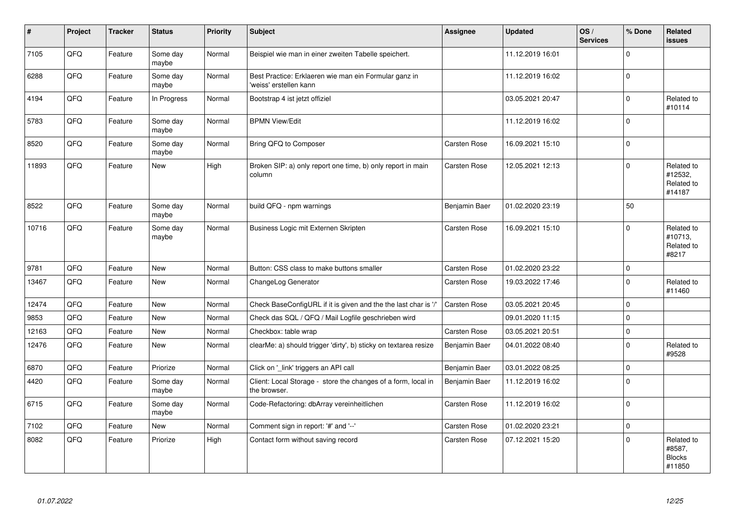| $\vert$ # | Project | <b>Tracker</b> | <b>Status</b>     | <b>Priority</b> | <b>Subject</b>                                                                  | <b>Assignee</b> | <b>Updated</b>   | OS/<br><b>Services</b> | % Done       | <b>Related</b><br><b>issues</b>                 |
|-----------|---------|----------------|-------------------|-----------------|---------------------------------------------------------------------------------|-----------------|------------------|------------------------|--------------|-------------------------------------------------|
| 7105      | QFQ     | Feature        | Some day<br>maybe | Normal          | Beispiel wie man in einer zweiten Tabelle speichert.                            |                 | 11.12.2019 16:01 |                        | $\mathbf 0$  |                                                 |
| 6288      | QFQ     | Feature        | Some day<br>maybe | Normal          | Best Practice: Erklaeren wie man ein Formular ganz in<br>'weiss' erstellen kann |                 | 11.12.2019 16:02 |                        | $\mathbf 0$  |                                                 |
| 4194      | QFQ     | Feature        | In Progress       | Normal          | Bootstrap 4 ist jetzt offiziel                                                  |                 | 03.05.2021 20:47 |                        | $\mathbf 0$  | Related to<br>#10114                            |
| 5783      | QFQ     | Feature        | Some day<br>maybe | Normal          | <b>BPMN View/Edit</b>                                                           |                 | 11.12.2019 16:02 |                        | $\mathbf 0$  |                                                 |
| 8520      | QFQ     | Feature        | Some day<br>maybe | Normal          | Bring QFQ to Composer                                                           | Carsten Rose    | 16.09.2021 15:10 |                        | $\mathsf 0$  |                                                 |
| 11893     | QFQ     | Feature        | <b>New</b>        | High            | Broken SIP: a) only report one time, b) only report in main<br>column           | Carsten Rose    | 12.05.2021 12:13 |                        | $\Omega$     | Related to<br>#12532,<br>Related to<br>#14187   |
| 8522      | QFQ     | Feature        | Some day<br>maybe | Normal          | build QFQ - npm warnings                                                        | Benjamin Baer   | 01.02.2020 23:19 |                        | 50           |                                                 |
| 10716     | QFQ     | Feature        | Some day<br>maybe | Normal          | Business Logic mit Externen Skripten                                            | Carsten Rose    | 16.09.2021 15:10 |                        | $\mathbf 0$  | Related to<br>#10713,<br>Related to<br>#8217    |
| 9781      | QFQ     | Feature        | <b>New</b>        | Normal          | Button: CSS class to make buttons smaller                                       | Carsten Rose    | 01.02.2020 23:22 |                        | $\mathbf{0}$ |                                                 |
| 13467     | QFQ     | Feature        | <b>New</b>        | Normal          | ChangeLog Generator                                                             | Carsten Rose    | 19.03.2022 17:46 |                        | $\Omega$     | Related to<br>#11460                            |
| 12474     | QFQ     | Feature        | <b>New</b>        | Normal          | Check BaseConfigURL if it is given and the the last char is '/'                 | Carsten Rose    | 03.05.2021 20:45 |                        | $\mathbf{0}$ |                                                 |
| 9853      | QFQ     | Feature        | <b>New</b>        | Normal          | Check das SQL / QFQ / Mail Logfile geschrieben wird                             |                 | 09.01.2020 11:15 |                        | $\mathbf 0$  |                                                 |
| 12163     | QFQ     | Feature        | New               | Normal          | Checkbox: table wrap                                                            | Carsten Rose    | 03.05.2021 20:51 |                        | $\pmb{0}$    |                                                 |
| 12476     | QFQ     | Feature        | New               | Normal          | clearMe: a) should trigger 'dirty', b) sticky on textarea resize                | Benjamin Baer   | 04.01.2022 08:40 |                        | $\mathbf 0$  | Related to<br>#9528                             |
| 6870      | QFQ     | Feature        | Priorize          | Normal          | Click on '_link' triggers an API call                                           | Benjamin Baer   | 03.01.2022 08:25 |                        | $\mathsf 0$  |                                                 |
| 4420      | QFQ     | Feature        | Some day<br>maybe | Normal          | Client: Local Storage - store the changes of a form, local in<br>the browser.   | Benjamin Baer   | 11.12.2019 16:02 |                        | $\mathbf 0$  |                                                 |
| 6715      | QFQ     | Feature        | Some day<br>maybe | Normal          | Code-Refactoring: dbArray vereinheitlichen                                      | Carsten Rose    | 11.12.2019 16:02 |                        | $\pmb{0}$    |                                                 |
| 7102      | QFQ     | Feature        | <b>New</b>        | Normal          | Comment sign in report: '#' and '--'                                            | Carsten Rose    | 01.02.2020 23:21 |                        | $\mathbf 0$  |                                                 |
| 8082      | QFQ     | Feature        | Priorize          | High            | Contact form without saving record                                              | Carsten Rose    | 07.12.2021 15:20 |                        | $\mathbf 0$  | Related to<br>#8587,<br><b>Blocks</b><br>#11850 |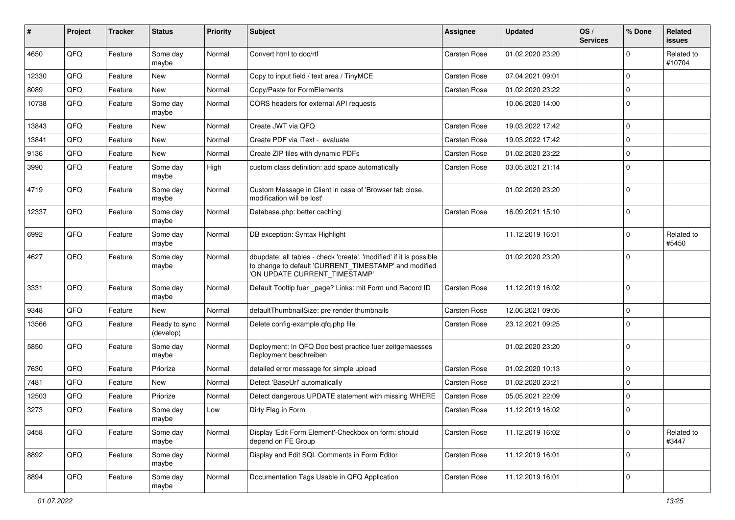| #     | Project | <b>Tracker</b> | <b>Status</b>              | <b>Priority</b> | <b>Subject</b>                                                                                                                                                | Assignee     | <b>Updated</b>   | OS/<br><b>Services</b> | % Done      | Related<br><b>issues</b> |
|-------|---------|----------------|----------------------------|-----------------|---------------------------------------------------------------------------------------------------------------------------------------------------------------|--------------|------------------|------------------------|-------------|--------------------------|
| 4650  | QFQ     | Feature        | Some day<br>maybe          | Normal          | Convert html to doc/rtf                                                                                                                                       | Carsten Rose | 01.02.2020 23:20 |                        | 0           | Related to<br>#10704     |
| 12330 | QFQ     | Feature        | New                        | Normal          | Copy to input field / text area / TinyMCE                                                                                                                     | Carsten Rose | 07.04.2021 09:01 |                        | $\Omega$    |                          |
| 8089  | QFQ     | Feature        | New                        | Normal          | Copy/Paste for FormElements                                                                                                                                   | Carsten Rose | 01.02.2020 23:22 |                        | $\Omega$    |                          |
| 10738 | QFQ     | Feature        | Some day<br>maybe          | Normal          | CORS headers for external API requests                                                                                                                        |              | 10.06.2020 14:00 |                        | $\Omega$    |                          |
| 13843 | QFQ     | Feature        | New                        | Normal          | Create JWT via QFQ                                                                                                                                            | Carsten Rose | 19.03.2022 17:42 |                        | $\mathbf 0$ |                          |
| 13841 | QFQ     | Feature        | New                        | Normal          | Create PDF via iText - evaluate                                                                                                                               | Carsten Rose | 19.03.2022 17:42 |                        | $\Omega$    |                          |
| 9136  | QFQ     | Feature        | <b>New</b>                 | Normal          | Create ZIP files with dynamic PDFs                                                                                                                            | Carsten Rose | 01.02.2020 23:22 |                        | 0           |                          |
| 3990  | QFQ     | Feature        | Some day<br>maybe          | High            | custom class definition: add space automatically                                                                                                              | Carsten Rose | 03.05.2021 21:14 |                        | $\Omega$    |                          |
| 4719  | QFQ     | Feature        | Some day<br>maybe          | Normal          | Custom Message in Client in case of 'Browser tab close,<br>modification will be lost'                                                                         |              | 01.02.2020 23:20 |                        | $\Omega$    |                          |
| 12337 | QFQ     | Feature        | Some day<br>maybe          | Normal          | Database.php: better caching                                                                                                                                  | Carsten Rose | 16.09.2021 15:10 |                        | $\mathbf 0$ |                          |
| 6992  | QFQ     | Feature        | Some day<br>maybe          | Normal          | DB exception: Syntax Highlight                                                                                                                                |              | 11.12.2019 16:01 |                        | $\Omega$    | Related to<br>#5450      |
| 4627  | QFQ     | Feature        | Some day<br>maybe          | Normal          | dbupdate: all tables - check 'create', 'modified' if it is possible<br>to change to default 'CURRENT_TIMESTAMP' and modified<br>'ON UPDATE CURRENT_TIMESTAMP' |              | 01.02.2020 23:20 |                        | $\mathbf 0$ |                          |
| 3331  | QFQ     | Feature        | Some day<br>maybe          | Normal          | Default Tooltip fuer _page? Links: mit Form und Record ID                                                                                                     | Carsten Rose | 11.12.2019 16:02 |                        | $\Omega$    |                          |
| 9348  | QFQ     | Feature        | New                        | Normal          | defaultThumbnailSize: pre render thumbnails                                                                                                                   | Carsten Rose | 12.06.2021 09:05 |                        | $\mathbf 0$ |                          |
| 13566 | QFQ     | Feature        | Ready to sync<br>(develop) | Normal          | Delete config-example.qfq.php file                                                                                                                            | Carsten Rose | 23.12.2021 09:25 |                        | $\Omega$    |                          |
| 5850  | QFQ     | Feature        | Some day<br>maybe          | Normal          | Deployment: In QFQ Doc best practice fuer zeitgemaesses<br>Deployment beschreiben                                                                             |              | 01.02.2020 23:20 |                        | $\mathbf 0$ |                          |
| 7630  | QFQ     | Feature        | Priorize                   | Normal          | detailed error message for simple upload                                                                                                                      | Carsten Rose | 01.02.2020 10:13 |                        | $\mathbf 0$ |                          |
| 7481  | QFQ     | Feature        | New                        | Normal          | Detect 'BaseUrl' automatically                                                                                                                                | Carsten Rose | 01.02.2020 23:21 |                        | $\mathbf 0$ |                          |
| 12503 | QFQ     | Feature        | Priorize                   | Normal          | Detect dangerous UPDATE statement with missing WHERE                                                                                                          | Carsten Rose | 05.05.2021 22:09 |                        | $\mathbf 0$ |                          |
| 3273  | QFQ     | Feature        | Some day<br>maybe          | Low             | Dirty Flag in Form                                                                                                                                            | Carsten Rose | 11.12.2019 16:02 |                        | $\Omega$    |                          |
| 3458  | QFQ     | Feature        | Some day<br>maybe          | Normal          | Display 'Edit Form Element'-Checkbox on form: should<br>depend on FE Group                                                                                    | Carsten Rose | 11.12.2019 16:02 |                        | $\mathbf 0$ | Related to<br>#3447      |
| 8892  | QFQ     | Feature        | Some day<br>maybe          | Normal          | Display and Edit SQL Comments in Form Editor                                                                                                                  | Carsten Rose | 11.12.2019 16:01 |                        | $\mathbf 0$ |                          |
| 8894  | QFQ     | Feature        | Some day<br>maybe          | Normal          | Documentation Tags Usable in QFQ Application                                                                                                                  | Carsten Rose | 11.12.2019 16:01 |                        | $\mathbf 0$ |                          |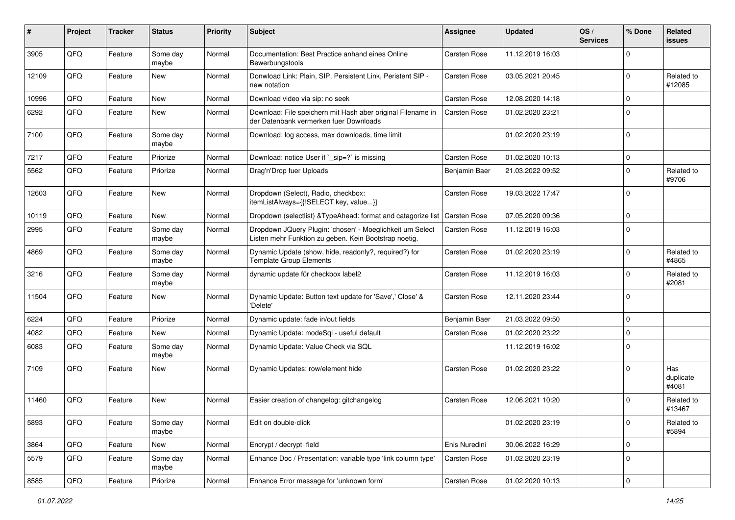| #     | Project | <b>Tracker</b> | <b>Status</b>     | <b>Priority</b> | <b>Subject</b>                                                                                                     | Assignee            | <b>Updated</b>   | OS/<br><b>Services</b> | % Done      | Related<br>issues         |
|-------|---------|----------------|-------------------|-----------------|--------------------------------------------------------------------------------------------------------------------|---------------------|------------------|------------------------|-------------|---------------------------|
| 3905  | QFQ     | Feature        | Some day<br>maybe | Normal          | Documentation: Best Practice anhand eines Online<br>Bewerbungstools                                                | Carsten Rose        | 11.12.2019 16:03 |                        | $\Omega$    |                           |
| 12109 | QFQ     | Feature        | New               | Normal          | Donwload Link: Plain, SIP, Persistent Link, Peristent SIP -<br>new notation                                        | Carsten Rose        | 03.05.2021 20:45 |                        | $\Omega$    | Related to<br>#12085      |
| 10996 | QFQ     | Feature        | New               | Normal          | Download video via sip: no seek                                                                                    | Carsten Rose        | 12.08.2020 14:18 |                        | 0           |                           |
| 6292  | QFQ     | Feature        | New               | Normal          | Download: File speichern mit Hash aber original Filename in<br>der Datenbank vermerken fuer Downloads              | <b>Carsten Rose</b> | 01.02.2020 23:21 |                        | $\Omega$    |                           |
| 7100  | QFQ     | Feature        | Some day<br>maybe | Normal          | Download: log access, max downloads, time limit                                                                    |                     | 01.02.2020 23:19 |                        | $\Omega$    |                           |
| 7217  | QFQ     | Feature        | Priorize          | Normal          | Download: notice User if `_sip=?` is missing                                                                       | Carsten Rose        | 01.02.2020 10:13 |                        | $\mathbf 0$ |                           |
| 5562  | QFQ     | Feature        | Priorize          | Normal          | Drag'n'Drop fuer Uploads                                                                                           | Benjamin Baer       | 21.03.2022 09:52 |                        | $\Omega$    | Related to<br>#9706       |
| 12603 | QFQ     | Feature        | New               | Normal          | Dropdown (Select), Radio, checkbox:<br>itemListAlways={{!SELECT key, value}}                                       | Carsten Rose        | 19.03.2022 17:47 |                        | $\Omega$    |                           |
| 10119 | QFQ     | Feature        | <b>New</b>        | Normal          | Dropdown (selectlist) & Type Ahead: format and catagorize list                                                     | Carsten Rose        | 07.05.2020 09:36 |                        | 0           |                           |
| 2995  | QFQ     | Feature        | Some day<br>maybe | Normal          | Dropdown JQuery Plugin: 'chosen' - Moeglichkeit um Select<br>Listen mehr Funktion zu geben. Kein Bootstrap noetig. | Carsten Rose        | 11.12.2019 16:03 |                        | $\Omega$    |                           |
| 4869  | QFQ     | Feature        | Some day<br>maybe | Normal          | Dynamic Update (show, hide, readonly?, required?) for<br><b>Template Group Elements</b>                            | Carsten Rose        | 01.02.2020 23:19 |                        | $\Omega$    | Related to<br>#4865       |
| 3216  | QFQ     | Feature        | Some day<br>maybe | Normal          | dynamic update für checkbox label2                                                                                 | Carsten Rose        | 11.12.2019 16:03 |                        | $\Omega$    | Related to<br>#2081       |
| 11504 | QFQ     | Feature        | New               | Normal          | Dynamic Update: Button text update for 'Save',' Close' &<br>'Delete'                                               | Carsten Rose        | 12.11.2020 23:44 |                        | $\Omega$    |                           |
| 6224  | QFQ     | Feature        | Priorize          | Normal          | Dynamic update: fade in/out fields                                                                                 | Benjamin Baer       | 21.03.2022 09:50 |                        | $\mathbf 0$ |                           |
| 4082  | QFQ     | Feature        | New               | Normal          | Dynamic Update: modeSql - useful default                                                                           | Carsten Rose        | 01.02.2020 23:22 |                        | $\mathbf 0$ |                           |
| 6083  | QFQ     | Feature        | Some day<br>maybe | Normal          | Dynamic Update: Value Check via SQL                                                                                |                     | 11.12.2019 16:02 |                        | $\Omega$    |                           |
| 7109  | QFQ     | Feature        | New               | Normal          | Dynamic Updates: row/element hide                                                                                  | Carsten Rose        | 01.02.2020 23:22 |                        | $\Omega$    | Has<br>duplicate<br>#4081 |
| 11460 | QFQ     | Feature        | <b>New</b>        | Normal          | Easier creation of changelog: gitchangelog                                                                         | Carsten Rose        | 12.06.2021 10:20 |                        | $\Omega$    | Related to<br>#13467      |
| 5893  | QFQ     | Feature        | Some day<br>maybe | Normal          | Edit on double-click                                                                                               |                     | 01.02.2020 23:19 |                        | 0           | Related to<br>#5894       |
| 3864  | QFQ     | Feature        | New               | Normal          | Encrypt / decrypt field                                                                                            | Enis Nuredini       | 30.06.2022 16:29 |                        | $\mathbf 0$ |                           |
| 5579  | QFQ     | Feature        | Some day<br>maybe | Normal          | Enhance Doc / Presentation: variable type 'link column type'                                                       | Carsten Rose        | 01.02.2020 23:19 |                        | $\mathbf 0$ |                           |
| 8585  | QFQ     | Feature        | Priorize          | Normal          | Enhance Error message for 'unknown form'                                                                           | Carsten Rose        | 01.02.2020 10:13 |                        | 0           |                           |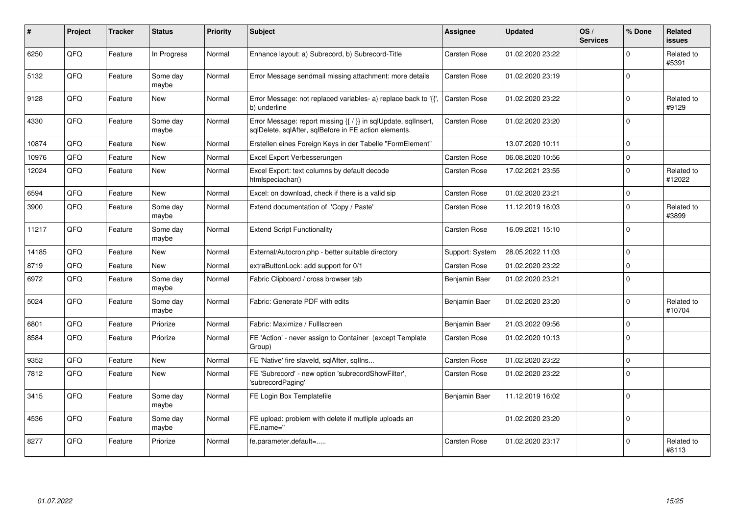| #     | Project | <b>Tracker</b> | <b>Status</b>     | <b>Priority</b> | <b>Subject</b>                                                                                                          | <b>Assignee</b> | <b>Updated</b>   | OS/<br><b>Services</b> | % Done      | Related<br><b>issues</b> |
|-------|---------|----------------|-------------------|-----------------|-------------------------------------------------------------------------------------------------------------------------|-----------------|------------------|------------------------|-------------|--------------------------|
| 6250  | QFQ     | Feature        | In Progress       | Normal          | Enhance layout: a) Subrecord, b) Subrecord-Title                                                                        | Carsten Rose    | 01.02.2020 23:22 |                        | $\Omega$    | Related to<br>#5391      |
| 5132  | QFQ     | Feature        | Some day<br>maybe | Normal          | Error Message sendmail missing attachment: more details                                                                 | Carsten Rose    | 01.02.2020 23:19 |                        | $\Omega$    |                          |
| 9128  | QFQ     | Feature        | New               | Normal          | Error Message: not replaced variables- a) replace back to '{{',<br>b) underline                                         | Carsten Rose    | 01.02.2020 23:22 |                        | $\Omega$    | Related to<br>#9129      |
| 4330  | QFQ     | Feature        | Some day<br>maybe | Normal          | Error Message: report missing {{ / }} in sqlUpdate, sqlInsert,<br>sqlDelete, sqlAfter, sqlBefore in FE action elements. | Carsten Rose    | 01.02.2020 23:20 |                        | $\Omega$    |                          |
| 10874 | QFQ     | Feature        | <b>New</b>        | Normal          | Erstellen eines Foreign Keys in der Tabelle "FormElement"                                                               |                 | 13.07.2020 10:11 |                        | $\Omega$    |                          |
| 10976 | QFQ     | Feature        | <b>New</b>        | Normal          | Excel Export Verbesserungen                                                                                             | Carsten Rose    | 06.08.2020 10:56 |                        | $\Omega$    |                          |
| 12024 | QFQ     | Feature        | New               | Normal          | Excel Export: text columns by default decode<br>htmlspeciachar()                                                        | Carsten Rose    | 17.02.2021 23:55 |                        | $\Omega$    | Related to<br>#12022     |
| 6594  | QFQ     | Feature        | New               | Normal          | Excel: on download, check if there is a valid sip                                                                       | Carsten Rose    | 01.02.2020 23:21 |                        | $\Omega$    |                          |
| 3900  | QFQ     | Feature        | Some day<br>maybe | Normal          | Extend documentation of 'Copy / Paste'                                                                                  | Carsten Rose    | 11.12.2019 16:03 |                        | $\Omega$    | Related to<br>#3899      |
| 11217 | QFQ     | Feature        | Some day<br>maybe | Normal          | <b>Extend Script Functionality</b>                                                                                      | Carsten Rose    | 16.09.2021 15:10 |                        | $\Omega$    |                          |
| 14185 | QFQ     | Feature        | New               | Normal          | External/Autocron.php - better suitable directory                                                                       | Support: System | 28.05.2022 11:03 |                        | $\Omega$    |                          |
| 8719  | QFQ     | Feature        | <b>New</b>        | Normal          | extraButtonLock: add support for 0/1                                                                                    | Carsten Rose    | 01.02.2020 23:22 |                        | $\Omega$    |                          |
| 6972  | QFQ     | Feature        | Some day<br>maybe | Normal          | Fabric Clipboard / cross browser tab                                                                                    | Benjamin Baer   | 01.02.2020 23:21 |                        | $\Omega$    |                          |
| 5024  | QFQ     | Feature        | Some day<br>maybe | Normal          | Fabric: Generate PDF with edits                                                                                         | Benjamin Baer   | 01.02.2020 23:20 |                        | $\Omega$    | Related to<br>#10704     |
| 6801  | QFQ     | Feature        | Priorize          | Normal          | Fabric: Maximize / FullIscreen                                                                                          | Benjamin Baer   | 21.03.2022 09:56 |                        | $\Omega$    |                          |
| 8584  | QFQ     | Feature        | Priorize          | Normal          | FE 'Action' - never assign to Container (except Template)<br>Group)                                                     | Carsten Rose    | 01.02.2020 10:13 |                        | $\Omega$    |                          |
| 9352  | QFQ     | Feature        | <b>New</b>        | Normal          | FE 'Native' fire slaveld, sqlAfter, sqllns                                                                              | Carsten Rose    | 01.02.2020 23:22 |                        | $\mathbf 0$ |                          |
| 7812  | QFQ     | Feature        | <b>New</b>        | Normal          | FE 'Subrecord' - new option 'subrecordShowFilter',<br>'subrecordPaging'                                                 | Carsten Rose    | 01.02.2020 23:22 |                        | $\mathbf 0$ |                          |
| 3415  | QFQ     | Feature        | Some day<br>maybe | Normal          | FE Login Box Templatefile                                                                                               | Benjamin Baer   | 11.12.2019 16:02 |                        | $\Omega$    |                          |
| 4536  | QFQ     | Feature        | Some day<br>maybe | Normal          | FE upload: problem with delete if mutliple uploads an<br>FE.name="                                                      |                 | 01.02.2020 23:20 |                        | $\Omega$    |                          |
| 8277  | QFQ     | Feature        | Priorize          | Normal          | fe.parameter.default=                                                                                                   | Carsten Rose    | 01.02.2020 23:17 |                        | $\Omega$    | Related to<br>#8113      |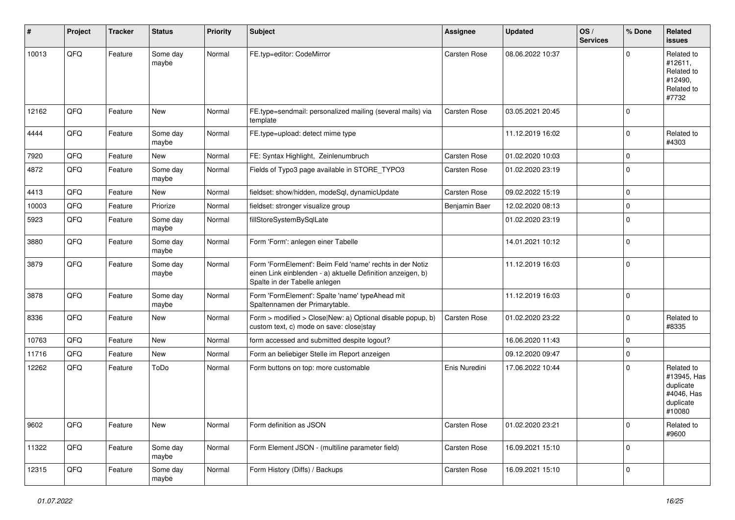| #     | Project | <b>Tracker</b> | <b>Status</b>     | <b>Priority</b> | <b>Subject</b>                                                                                                                                           | Assignee            | <b>Updated</b>   | OS/<br><b>Services</b> | % Done      | Related<br><b>issues</b>                                                    |
|-------|---------|----------------|-------------------|-----------------|----------------------------------------------------------------------------------------------------------------------------------------------------------|---------------------|------------------|------------------------|-------------|-----------------------------------------------------------------------------|
| 10013 | QFQ     | Feature        | Some day<br>maybe | Normal          | FE.typ=editor: CodeMirror                                                                                                                                | Carsten Rose        | 08.06.2022 10:37 |                        | $\mathbf 0$ | Related to<br>#12611,<br>Related to<br>#12490,<br>Related to<br>#7732       |
| 12162 | QFQ     | Feature        | <b>New</b>        | Normal          | FE.type=sendmail: personalized mailing (several mails) via<br>template                                                                                   | <b>Carsten Rose</b> | 03.05.2021 20:45 |                        | $\mathbf 0$ |                                                                             |
| 4444  | QFQ     | Feature        | Some day<br>maybe | Normal          | FE.type=upload: detect mime type                                                                                                                         |                     | 11.12.2019 16:02 |                        | $\mathbf 0$ | Related to<br>#4303                                                         |
| 7920  | QFQ     | Feature        | New               | Normal          | FE: Syntax Highlight, Zeinlenumbruch                                                                                                                     | Carsten Rose        | 01.02.2020 10:03 |                        | $\mathbf 0$ |                                                                             |
| 4872  | QFQ     | Feature        | Some day<br>maybe | Normal          | Fields of Typo3 page available in STORE_TYPO3                                                                                                            | Carsten Rose        | 01.02.2020 23:19 |                        | $\mathbf 0$ |                                                                             |
| 4413  | QFQ     | Feature        | New               | Normal          | fieldset: show/hidden, modeSql, dynamicUpdate                                                                                                            | Carsten Rose        | 09.02.2022 15:19 |                        | $\mathbf 0$ |                                                                             |
| 10003 | QFQ     | Feature        | Priorize          | Normal          | fieldset: stronger visualize group                                                                                                                       | Benjamin Baer       | 12.02.2020 08:13 |                        | $\mathbf 0$ |                                                                             |
| 5923  | QFQ     | Feature        | Some day<br>maybe | Normal          | fillStoreSystemBySqlLate                                                                                                                                 |                     | 01.02.2020 23:19 |                        | $\mathbf 0$ |                                                                             |
| 3880  | QFQ     | Feature        | Some day<br>maybe | Normal          | Form 'Form': anlegen einer Tabelle                                                                                                                       |                     | 14.01.2021 10:12 |                        | $\mathsf 0$ |                                                                             |
| 3879  | QFQ     | Feature        | Some day<br>maybe | Normal          | Form 'FormElement': Beim Feld 'name' rechts in der Notiz<br>einen Link einblenden - a) aktuelle Definition anzeigen, b)<br>Spalte in der Tabelle anlegen |                     | 11.12.2019 16:03 |                        | $\pmb{0}$   |                                                                             |
| 3878  | QFQ     | Feature        | Some day<br>maybe | Normal          | Form 'FormElement': Spalte 'name' typeAhead mit<br>Spaltennamen der Primarytable.                                                                        |                     | 11.12.2019 16:03 |                        | $\mathbf 0$ |                                                                             |
| 8336  | QFQ     | Feature        | <b>New</b>        | Normal          | Form > modified > Close New: a) Optional disable popup, b)<br>custom text, c) mode on save: close stay                                                   | <b>Carsten Rose</b> | 01.02.2020 23:22 |                        | $\mathbf 0$ | Related to<br>#8335                                                         |
| 10763 | QFQ     | Feature        | New               | Normal          | form accessed and submitted despite logout?                                                                                                              |                     | 16.06.2020 11:43 |                        | $\mathbf 0$ |                                                                             |
| 11716 | QFQ     | Feature        | New               | Normal          | Form an beliebiger Stelle im Report anzeigen                                                                                                             |                     | 09.12.2020 09:47 |                        | $\mathbf 0$ |                                                                             |
| 12262 | QFQ     | Feature        | ToDo              | Normal          | Form buttons on top: more customable                                                                                                                     | Enis Nuredini       | 17.06.2022 10:44 |                        | $\mathbf 0$ | Related to<br>#13945, Has<br>duplicate<br>#4046, Has<br>duplicate<br>#10080 |
| 9602  | QFQ     | Feature        | New               | Normal          | Form definition as JSON                                                                                                                                  | Carsten Rose        | 01.02.2020 23:21 |                        | $\mathbf 0$ | Related to<br>#9600                                                         |
| 11322 | QFQ     | Feature        | Some day<br>maybe | Normal          | Form Element JSON - (multiline parameter field)                                                                                                          | Carsten Rose        | 16.09.2021 15:10 |                        | $\mathsf 0$ |                                                                             |
| 12315 | QFQ     | Feature        | Some day<br>maybe | Normal          | Form History (Diffs) / Backups                                                                                                                           | Carsten Rose        | 16.09.2021 15:10 |                        | $\mathbf 0$ |                                                                             |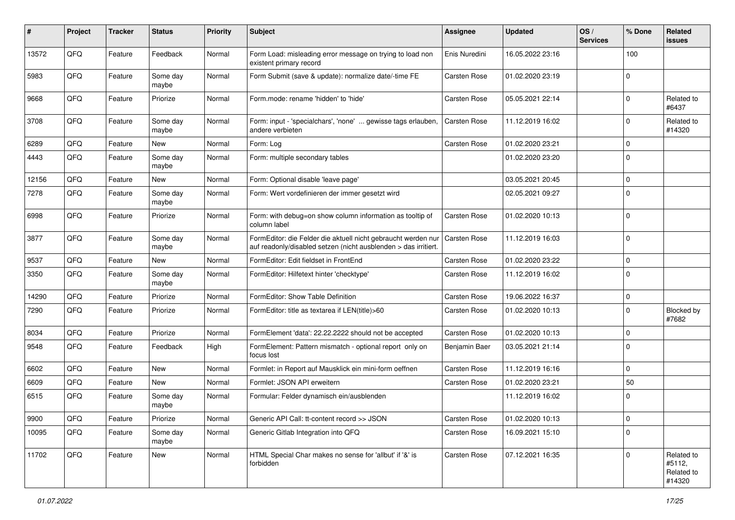| #     | Project | <b>Tracker</b> | <b>Status</b>     | <b>Priority</b> | <b>Subject</b>                                                                                                                   | Assignee            | <b>Updated</b>   | OS/<br><b>Services</b> | % Done      | Related<br>issues                            |
|-------|---------|----------------|-------------------|-----------------|----------------------------------------------------------------------------------------------------------------------------------|---------------------|------------------|------------------------|-------------|----------------------------------------------|
| 13572 | QFQ     | Feature        | Feedback          | Normal          | Form Load: misleading error message on trying to load non<br>existent primary record                                             | Enis Nuredini       | 16.05.2022 23:16 |                        | 100         |                                              |
| 5983  | QFQ     | Feature        | Some day<br>maybe | Normal          | Form Submit (save & update): normalize date/-time FE                                                                             | Carsten Rose        | 01.02.2020 23:19 |                        | $\mathbf 0$ |                                              |
| 9668  | QFQ     | Feature        | Priorize          | Normal          | Form.mode: rename 'hidden' to 'hide'                                                                                             | Carsten Rose        | 05.05.2021 22:14 |                        | 0           | Related to<br>#6437                          |
| 3708  | QFQ     | Feature        | Some day<br>maybe | Normal          | Form: input - 'specialchars', 'none'  gewisse tags erlauben,<br>andere verbieten                                                 | Carsten Rose        | 11.12.2019 16:02 |                        | $\mathbf 0$ | Related to<br>#14320                         |
| 6289  | QFQ     | Feature        | <b>New</b>        | Normal          | Form: Log                                                                                                                        | Carsten Rose        | 01.02.2020 23:21 |                        | $\mathbf 0$ |                                              |
| 4443  | QFQ     | Feature        | Some day<br>maybe | Normal          | Form: multiple secondary tables                                                                                                  |                     | 01.02.2020 23:20 |                        | $\mathbf 0$ |                                              |
| 12156 | QFQ     | Feature        | <b>New</b>        | Normal          | Form: Optional disable 'leave page'                                                                                              |                     | 03.05.2021 20:45 |                        | $\mathbf 0$ |                                              |
| 7278  | QFQ     | Feature        | Some day<br>maybe | Normal          | Form: Wert vordefinieren der immer gesetzt wird                                                                                  |                     | 02.05.2021 09:27 |                        | $\Omega$    |                                              |
| 6998  | QFQ     | Feature        | Priorize          | Normal          | Form: with debug=on show column information as tooltip of<br>column label                                                        | Carsten Rose        | 01.02.2020 10:13 |                        | $\Omega$    |                                              |
| 3877  | QFQ     | Feature        | Some day<br>maybe | Normal          | FormEditor: die Felder die aktuell nicht gebraucht werden nur<br>auf readonly/disabled setzen (nicht ausblenden > das irritiert. | <b>Carsten Rose</b> | 11.12.2019 16:03 |                        | $\Omega$    |                                              |
| 9537  | QFQ     | Feature        | New               | Normal          | FormEditor: Edit fieldset in FrontEnd                                                                                            | Carsten Rose        | 01.02.2020 23:22 |                        | $\Omega$    |                                              |
| 3350  | QFQ     | Feature        | Some day<br>maybe | Normal          | FormEditor: Hilfetext hinter 'checktype'                                                                                         | Carsten Rose        | 11.12.2019 16:02 |                        | $\mathbf 0$ |                                              |
| 14290 | QFQ     | Feature        | Priorize          | Normal          | FormEditor: Show Table Definition                                                                                                | Carsten Rose        | 19.06.2022 16:37 |                        | $\mathbf 0$ |                                              |
| 7290  | QFQ     | Feature        | Priorize          | Normal          | FormEditor: title as textarea if LEN(title)>60                                                                                   | Carsten Rose        | 01.02.2020 10:13 |                        | $\Omega$    | Blocked by<br>#7682                          |
| 8034  | QFQ     | Feature        | Priorize          | Normal          | FormElement 'data': 22.22.2222 should not be accepted                                                                            | Carsten Rose        | 01.02.2020 10:13 |                        | $\mathbf 0$ |                                              |
| 9548  | QFQ     | Feature        | Feedback          | High            | FormElement: Pattern mismatch - optional report only on<br>focus lost                                                            | Benjamin Baer       | 03.05.2021 21:14 |                        | $\mathbf 0$ |                                              |
| 6602  | QFQ     | Feature        | <b>New</b>        | Normal          | Formlet: in Report auf Mausklick ein mini-form oeffnen                                                                           | Carsten Rose        | 11.12.2019 16:16 |                        | $\mathbf 0$ |                                              |
| 6609  | QFQ     | Feature        | New               | Normal          | Formlet: JSON API erweitern                                                                                                      | Carsten Rose        | 01.02.2020 23:21 |                        | 50          |                                              |
| 6515  | QFQ     | Feature        | Some day<br>maybe | Normal          | Formular: Felder dynamisch ein/ausblenden                                                                                        |                     | 11.12.2019 16:02 |                        | $\Omega$    |                                              |
| 9900  | QFQ     | Feature        | Priorize          | Normal          | Generic API Call: tt-content record >> JSON                                                                                      | Carsten Rose        | 01.02.2020 10:13 |                        | 0           |                                              |
| 10095 | QFQ     | Feature        | Some day<br>maybe | Normal          | Generic Gitlab Integration into QFQ                                                                                              | Carsten Rose        | 16.09.2021 15:10 |                        | $\mathbf 0$ |                                              |
| 11702 | QFQ     | Feature        | New               | Normal          | HTML Special Char makes no sense for 'allbut' if '&' is<br>forbidden                                                             | Carsten Rose        | 07.12.2021 16:35 |                        | $\Omega$    | Related to<br>#5112,<br>Related to<br>#14320 |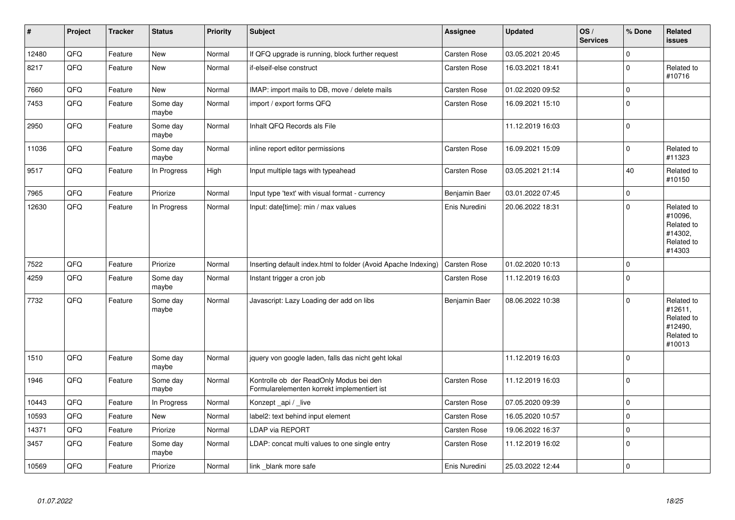| $\sharp$ | Project | <b>Tracker</b> | <b>Status</b>     | <b>Priority</b> | <b>Subject</b>                                                                         | <b>Assignee</b> | <b>Updated</b>   | OS/<br><b>Services</b> | % Done              | Related<br><b>issues</b>                                               |
|----------|---------|----------------|-------------------|-----------------|----------------------------------------------------------------------------------------|-----------------|------------------|------------------------|---------------------|------------------------------------------------------------------------|
| 12480    | QFQ     | Feature        | New               | Normal          | If QFQ upgrade is running, block further request                                       | Carsten Rose    | 03.05.2021 20:45 |                        | $\mathbf 0$         |                                                                        |
| 8217     | QFQ     | Feature        | New               | Normal          | if-elseif-else construct                                                               | Carsten Rose    | 16.03.2021 18:41 |                        | $\mathsf 0$         | Related to<br>#10716                                                   |
| 7660     | QFQ     | Feature        | <b>New</b>        | Normal          | IMAP: import mails to DB, move / delete mails                                          | Carsten Rose    | 01.02.2020 09:52 |                        | $\pmb{0}$           |                                                                        |
| 7453     | QFQ     | Feature        | Some day<br>maybe | Normal          | import / export forms QFQ                                                              | Carsten Rose    | 16.09.2021 15:10 |                        | $\mathbf 0$         |                                                                        |
| 2950     | QFQ     | Feature        | Some day<br>maybe | Normal          | Inhalt QFQ Records als File                                                            |                 | 11.12.2019 16:03 |                        | $\mathsf 0$         |                                                                        |
| 11036    | QFQ     | Feature        | Some day<br>maybe | Normal          | inline report editor permissions                                                       | Carsten Rose    | 16.09.2021 15:09 |                        | $\pmb{0}$           | Related to<br>#11323                                                   |
| 9517     | QFQ     | Feature        | In Progress       | High            | Input multiple tags with typeahead                                                     | Carsten Rose    | 03.05.2021 21:14 |                        | 40                  | Related to<br>#10150                                                   |
| 7965     | QFQ     | Feature        | Priorize          | Normal          | Input type 'text' with visual format - currency                                        | Benjamin Baer   | 03.01.2022 07:45 |                        | $\mathsf{O}\xspace$ |                                                                        |
| 12630    | QFQ     | Feature        | In Progress       | Normal          | Input: date[time]: min / max values                                                    | Enis Nuredini   | 20.06.2022 18:31 |                        | $\mathbf 0$         | Related to<br>#10096,<br>Related to<br>#14302,<br>Related to<br>#14303 |
| 7522     | QFQ     | Feature        | Priorize          | Normal          | Inserting default index.html to folder (Avoid Apache Indexing)                         | Carsten Rose    | 01.02.2020 10:13 |                        | $\mathsf 0$         |                                                                        |
| 4259     | QFQ     | Feature        | Some day<br>maybe | Normal          | Instant trigger a cron job                                                             | Carsten Rose    | 11.12.2019 16:03 |                        | $\mathbf 0$         |                                                                        |
| 7732     | QFQ     | Feature        | Some day<br>maybe | Normal          | Javascript: Lazy Loading der add on libs                                               | Benjamin Baer   | 08.06.2022 10:38 |                        | $\mathbf 0$         | Related to<br>#12611,<br>Related to<br>#12490,<br>Related to<br>#10013 |
| 1510     | QFQ     | Feature        | Some day<br>maybe | Normal          | jquery von google laden, falls das nicht geht lokal                                    |                 | 11.12.2019 16:03 |                        | $\mathbf 0$         |                                                                        |
| 1946     | QFQ     | Feature        | Some day<br>maybe | Normal          | Kontrolle ob der ReadOnly Modus bei den<br>Formularelementen korrekt implementiert ist | Carsten Rose    | 11.12.2019 16:03 |                        | $\mathbf 0$         |                                                                        |
| 10443    | QFQ     | Feature        | In Progress       | Normal          | Konzept _api / _live                                                                   | Carsten Rose    | 07.05.2020 09:39 |                        | $\mathsf 0$         |                                                                        |
| 10593    | QFQ     | Feature        | <b>New</b>        | Normal          | label2: text behind input element                                                      | Carsten Rose    | 16.05.2020 10:57 |                        | $\mathbf 0$         |                                                                        |
| 14371    | QFQ     | Feature        | Priorize          | Normal          | LDAP via REPORT                                                                        | Carsten Rose    | 19.06.2022 16:37 |                        | $\mathsf{O}\xspace$ |                                                                        |
| 3457     | QFQ     | Feature        | Some day<br>maybe | Normal          | LDAP: concat multi values to one single entry                                          | Carsten Rose    | 11.12.2019 16:02 |                        | $\mathsf 0$         |                                                                        |
| 10569    | QFQ     | Feature        | Priorize          | Normal          | link _blank more safe                                                                  | Enis Nuredini   | 25.03.2022 12:44 |                        | $\mathbf 0$         |                                                                        |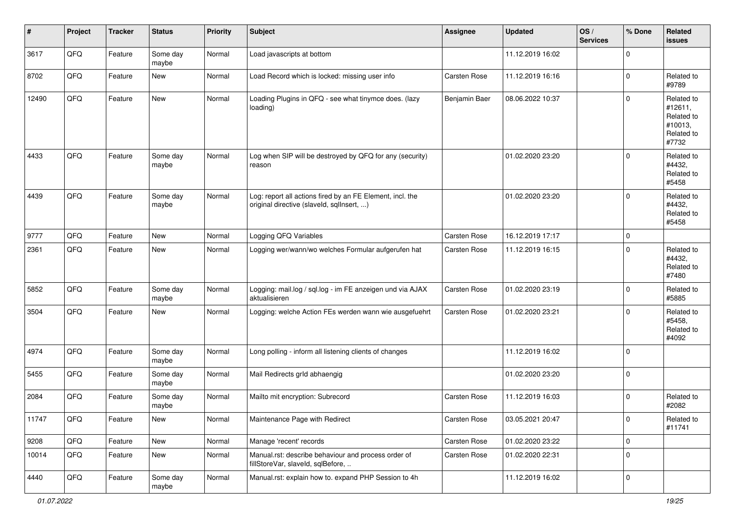| #     | Project | <b>Tracker</b> | <b>Status</b>     | <b>Priority</b> | Subject                                                                                                | <b>Assignee</b> | <b>Updated</b>   | OS/<br><b>Services</b> | % Done      | Related<br><b>issues</b>                                              |
|-------|---------|----------------|-------------------|-----------------|--------------------------------------------------------------------------------------------------------|-----------------|------------------|------------------------|-------------|-----------------------------------------------------------------------|
| 3617  | QFQ     | Feature        | Some day<br>maybe | Normal          | Load javascripts at bottom                                                                             |                 | 11.12.2019 16:02 |                        | $\Omega$    |                                                                       |
| 8702  | QFQ     | Feature        | <b>New</b>        | Normal          | Load Record which is locked: missing user info                                                         | Carsten Rose    | 11.12.2019 16:16 |                        | $\Omega$    | Related to<br>#9789                                                   |
| 12490 | QFQ     | Feature        | <b>New</b>        | Normal          | Loading Plugins in QFQ - see what tinymce does. (lazy<br>loading)                                      | Benjamin Baer   | 08.06.2022 10:37 |                        | $\Omega$    | Related to<br>#12611.<br>Related to<br>#10013,<br>Related to<br>#7732 |
| 4433  | QFQ     | Feature        | Some day<br>maybe | Normal          | Log when SIP will be destroyed by QFQ for any (security)<br>reason                                     |                 | 01.02.2020 23:20 |                        | $\Omega$    | Related to<br>#4432,<br>Related to<br>#5458                           |
| 4439  | QFQ     | Feature        | Some day<br>maybe | Normal          | Log: report all actions fired by an FE Element, incl. the<br>original directive (slaveld, sqlInsert, ) |                 | 01.02.2020 23:20 |                        | $\Omega$    | Related to<br>#4432,<br>Related to<br>#5458                           |
| 9777  | QFQ     | Feature        | <b>New</b>        | Normal          | Logging QFQ Variables                                                                                  | Carsten Rose    | 16.12.2019 17:17 |                        | 0           |                                                                       |
| 2361  | QFQ     | Feature        | New               | Normal          | Logging wer/wann/wo welches Formular aufgerufen hat                                                    | Carsten Rose    | 11.12.2019 16:15 |                        | $\Omega$    | Related to<br>#4432,<br>Related to<br>#7480                           |
| 5852  | QFQ     | Feature        | Some day<br>maybe | Normal          | Logging: mail.log / sql.log - im FE anzeigen und via AJAX<br>aktualisieren                             | Carsten Rose    | 01.02.2020 23:19 |                        | $\Omega$    | Related to<br>#5885                                                   |
| 3504  | QFQ     | Feature        | <b>New</b>        | Normal          | Logging: welche Action FEs werden wann wie ausgefuehrt                                                 | Carsten Rose    | 01.02.2020 23:21 |                        | $\Omega$    | Related to<br>#5458,<br>Related to<br>#4092                           |
| 4974  | QFQ     | Feature        | Some day<br>maybe | Normal          | Long polling - inform all listening clients of changes                                                 |                 | 11.12.2019 16:02 |                        | $\Omega$    |                                                                       |
| 5455  | QFQ     | Feature        | Some day<br>maybe | Normal          | Mail Redirects grld abhaengig                                                                          |                 | 01.02.2020 23:20 |                        | $\Omega$    |                                                                       |
| 2084  | QFQ     | Feature        | Some day<br>maybe | Normal          | Mailto mit encryption: Subrecord                                                                       | Carsten Rose    | 11.12.2019 16:03 |                        | $\Omega$    | Related to<br>#2082                                                   |
| 11747 | QFQ     | Feature        | New               | Normal          | Maintenance Page with Redirect                                                                         | Carsten Rose    | 03.05.2021 20:47 |                        | 0           | Related to<br>#11741                                                  |
| 9208  | QFQ     | Feature        | New               | Normal          | Manage 'recent' records                                                                                | Carsten Rose    | 01.02.2020 23:22 |                        | $\mathbf 0$ |                                                                       |
| 10014 | QFQ     | Feature        | New               | Normal          | Manual.rst: describe behaviour and process order of<br>fillStoreVar, slaveId, sqlBefore,               | Carsten Rose    | 01.02.2020 22:31 |                        | $\mathbf 0$ |                                                                       |
| 4440  | QFQ     | Feature        | Some day<br>maybe | Normal          | Manual.rst: explain how to. expand PHP Session to 4h                                                   |                 | 11.12.2019 16:02 |                        | 0           |                                                                       |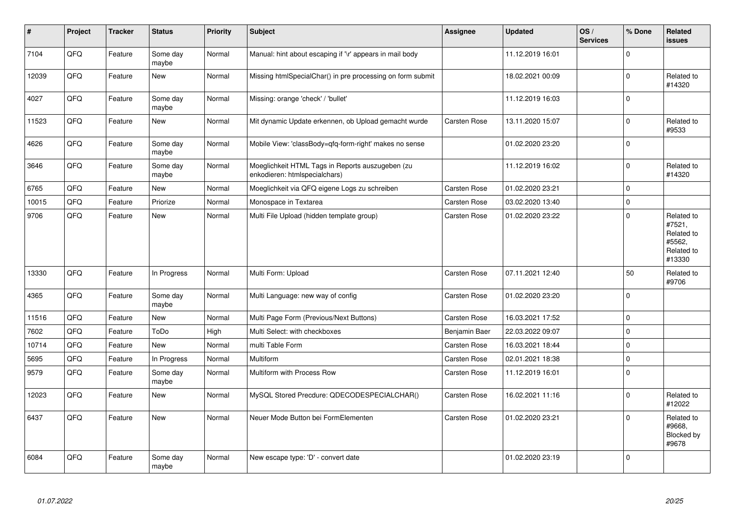| #     | Project | <b>Tracker</b> | <b>Status</b>     | Priority | <b>Subject</b>                                                                    | Assignee      | <b>Updated</b>   | OS/<br><b>Services</b> | % Done       | <b>Related</b><br><b>issues</b>                                      |
|-------|---------|----------------|-------------------|----------|-----------------------------------------------------------------------------------|---------------|------------------|------------------------|--------------|----------------------------------------------------------------------|
| 7104  | QFQ     | Feature        | Some day<br>maybe | Normal   | Manual: hint about escaping if '\r' appears in mail body                          |               | 11.12.2019 16:01 |                        | $\mathbf 0$  |                                                                      |
| 12039 | QFQ     | Feature        | <b>New</b>        | Normal   | Missing htmlSpecialChar() in pre processing on form submit                        |               | 18.02.2021 00:09 |                        | $\mathbf 0$  | Related to<br>#14320                                                 |
| 4027  | QFQ     | Feature        | Some day<br>maybe | Normal   | Missing: orange 'check' / 'bullet'                                                |               | 11.12.2019 16:03 |                        | $\mathbf 0$  |                                                                      |
| 11523 | QFQ     | Feature        | <b>New</b>        | Normal   | Mit dynamic Update erkennen, ob Upload gemacht wurde                              | Carsten Rose  | 13.11.2020 15:07 |                        | $\mathbf 0$  | Related to<br>#9533                                                  |
| 4626  | QFQ     | Feature        | Some day<br>maybe | Normal   | Mobile View: 'classBody=qfq-form-right' makes no sense                            |               | 01.02.2020 23:20 |                        | $\mathbf 0$  |                                                                      |
| 3646  | QFQ     | Feature        | Some day<br>maybe | Normal   | Moeglichkeit HTML Tags in Reports auszugeben (zu<br>enkodieren: htmlspecialchars) |               | 11.12.2019 16:02 |                        | $\mathbf 0$  | Related to<br>#14320                                                 |
| 6765  | QFQ     | Feature        | <b>New</b>        | Normal   | Moeglichkeit via QFQ eigene Logs zu schreiben                                     | Carsten Rose  | 01.02.2020 23:21 |                        | $\mathsf 0$  |                                                                      |
| 10015 | QFQ     | Feature        | Priorize          | Normal   | Monospace in Textarea                                                             | Carsten Rose  | 03.02.2020 13:40 |                        | $\mathbf 0$  |                                                                      |
| 9706  | QFQ     | Feature        | <b>New</b>        | Normal   | Multi File Upload (hidden template group)                                         | Carsten Rose  | 01.02.2020 23:22 |                        | $\mathbf 0$  | Related to<br>#7521,<br>Related to<br>#5562,<br>Related to<br>#13330 |
| 13330 | QFQ     | Feature        | In Progress       | Normal   | Multi Form: Upload                                                                | Carsten Rose  | 07.11.2021 12:40 |                        | 50           | Related to<br>#9706                                                  |
| 4365  | QFQ     | Feature        | Some day<br>maybe | Normal   | Multi Language: new way of config                                                 | Carsten Rose  | 01.02.2020 23:20 |                        | $\mathbf 0$  |                                                                      |
| 11516 | QFQ     | Feature        | <b>New</b>        | Normal   | Multi Page Form (Previous/Next Buttons)                                           | Carsten Rose  | 16.03.2021 17:52 |                        | $\mathbf 0$  |                                                                      |
| 7602  | QFQ     | Feature        | ToDo              | High     | Multi Select: with checkboxes                                                     | Benjamin Baer | 22.03.2022 09:07 |                        | $\mathbf{0}$ |                                                                      |
| 10714 | QFQ     | Feature        | <b>New</b>        | Normal   | multi Table Form                                                                  | Carsten Rose  | 16.03.2021 18:44 |                        | $\mathbf 0$  |                                                                      |
| 5695  | QFQ     | Feature        | In Progress       | Normal   | Multiform                                                                         | Carsten Rose  | 02.01.2021 18:38 |                        | $\pmb{0}$    |                                                                      |
| 9579  | QFQ     | Feature        | Some day<br>maybe | Normal   | Multiform with Process Row                                                        | Carsten Rose  | 11.12.2019 16:01 |                        | $\mathbf 0$  |                                                                      |
| 12023 | QFQ     | Feature        | <b>New</b>        | Normal   | MySQL Stored Precdure: QDECODESPECIALCHAR()                                       | Carsten Rose  | 16.02.2021 11:16 |                        | $\mathbf 0$  | Related to<br>#12022                                                 |
| 6437  | QFQ     | Feature        | <b>New</b>        | Normal   | Neuer Mode Button bei FormElementen                                               | Carsten Rose  | 01.02.2020 23:21 |                        | $\mathbf 0$  | Related to<br>#9668,<br>Blocked by<br>#9678                          |
| 6084  | QFQ     | Feature        | Some day<br>maybe | Normal   | New escape type: 'D' - convert date                                               |               | 01.02.2020 23:19 |                        | $\mathbf 0$  |                                                                      |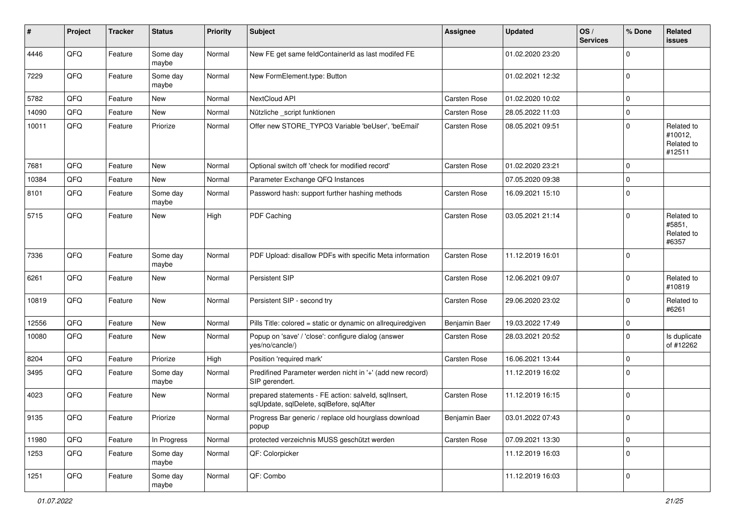| #     | Project | <b>Tracker</b> | <b>Status</b>     | <b>Priority</b> | <b>Subject</b>                                                                                    | <b>Assignee</b> | <b>Updated</b>   | OS/<br><b>Services</b> | % Done              | Related<br>issues                             |
|-------|---------|----------------|-------------------|-----------------|---------------------------------------------------------------------------------------------------|-----------------|------------------|------------------------|---------------------|-----------------------------------------------|
| 4446  | QFQ     | Feature        | Some day<br>maybe | Normal          | New FE get same feldContainerId as last modifed FE                                                |                 | 01.02.2020 23:20 |                        | $\mathbf 0$         |                                               |
| 7229  | QFQ     | Feature        | Some day<br>maybe | Normal          | New FormElement.type: Button                                                                      |                 | 01.02.2021 12:32 |                        | $\mathbf 0$         |                                               |
| 5782  | QFQ     | Feature        | New               | Normal          | NextCloud API                                                                                     | Carsten Rose    | 01.02.2020 10:02 |                        | $\mathbf 0$         |                                               |
| 14090 | QFQ     | Feature        | <b>New</b>        | Normal          | Nützliche _script funktionen                                                                      | Carsten Rose    | 28.05.2022 11:03 |                        | $\pmb{0}$           |                                               |
| 10011 | QFQ     | Feature        | Priorize          | Normal          | Offer new STORE_TYPO3 Variable 'beUser', 'beEmail'                                                | Carsten Rose    | 08.05.2021 09:51 |                        | $\mathbf 0$         | Related to<br>#10012,<br>Related to<br>#12511 |
| 7681  | QFQ     | Feature        | New               | Normal          | Optional switch off 'check for modified record'                                                   | Carsten Rose    | 01.02.2020 23:21 |                        | $\mathbf 0$         |                                               |
| 10384 | QFQ     | Feature        | <b>New</b>        | Normal          | Parameter Exchange QFQ Instances                                                                  |                 | 07.05.2020 09:38 |                        | $\mathbf 0$         |                                               |
| 8101  | QFQ     | Feature        | Some day<br>maybe | Normal          | Password hash: support further hashing methods                                                    | Carsten Rose    | 16.09.2021 15:10 |                        | $\mathbf 0$         |                                               |
| 5715  | QFQ     | Feature        | New               | High            | PDF Caching                                                                                       | Carsten Rose    | 03.05.2021 21:14 |                        | $\mathbf 0$         | Related to<br>#5851,<br>Related to<br>#6357   |
| 7336  | QFQ     | Feature        | Some day<br>maybe | Normal          | PDF Upload: disallow PDFs with specific Meta information                                          | Carsten Rose    | 11.12.2019 16:01 |                        | $\mathbf 0$         |                                               |
| 6261  | QFQ     | Feature        | New               | Normal          | Persistent SIP                                                                                    | Carsten Rose    | 12.06.2021 09:07 |                        | $\mathbf 0$         | Related to<br>#10819                          |
| 10819 | QFQ     | Feature        | <b>New</b>        | Normal          | Persistent SIP - second try                                                                       | Carsten Rose    | 29.06.2020 23:02 |                        | $\mathbf 0$         | Related to<br>#6261                           |
| 12556 | QFQ     | Feature        | <b>New</b>        | Normal          | Pills Title: colored = static or dynamic on allrequiredgiven                                      | Benjamin Baer   | 19.03.2022 17:49 |                        | $\mathbf 0$         |                                               |
| 10080 | QFQ     | Feature        | <b>New</b>        | Normal          | Popup on 'save' / 'close': configure dialog (answer<br>yes/no/cancle/)                            | Carsten Rose    | 28.03.2021 20:52 |                        | $\mathbf 0$         | Is duplicate<br>of #12262                     |
| 8204  | QFQ     | Feature        | Priorize          | High            | Position 'required mark'                                                                          | Carsten Rose    | 16.06.2021 13:44 |                        | $\mathbf 0$         |                                               |
| 3495  | QFQ     | Feature        | Some day<br>maybe | Normal          | Predifined Parameter werden nicht in '+' (add new record)<br>SIP gerendert.                       |                 | 11.12.2019 16:02 |                        | $\mathbf 0$         |                                               |
| 4023  | QFQ     | Feature        | New               | Normal          | prepared statements - FE action: salveld, sqlInsert,<br>sqlUpdate, sqlDelete, sqlBefore, sqlAfter | Carsten Rose    | 11.12.2019 16:15 |                        | $\mathbf 0$         |                                               |
| 9135  | QFQ     | Feature        | Priorize          | Normal          | Progress Bar generic / replace old hourglass download<br>popup                                    | Benjamin Baer   | 03.01.2022 07:43 |                        | $\mathbf{0}$        |                                               |
| 11980 | QFQ     | Feature        | In Progress       | Normal          | protected verzeichnis MUSS geschützt werden                                                       | Carsten Rose    | 07.09.2021 13:30 |                        | $\mathsf{O}\xspace$ |                                               |
| 1253  | QFQ     | Feature        | Some day<br>maybe | Normal          | QF: Colorpicker                                                                                   |                 | 11.12.2019 16:03 |                        | $\mathbf 0$         |                                               |
| 1251  | QFQ     | Feature        | Some day<br>maybe | Normal          | QF: Combo                                                                                         |                 | 11.12.2019 16:03 |                        | $\mathbf 0$         |                                               |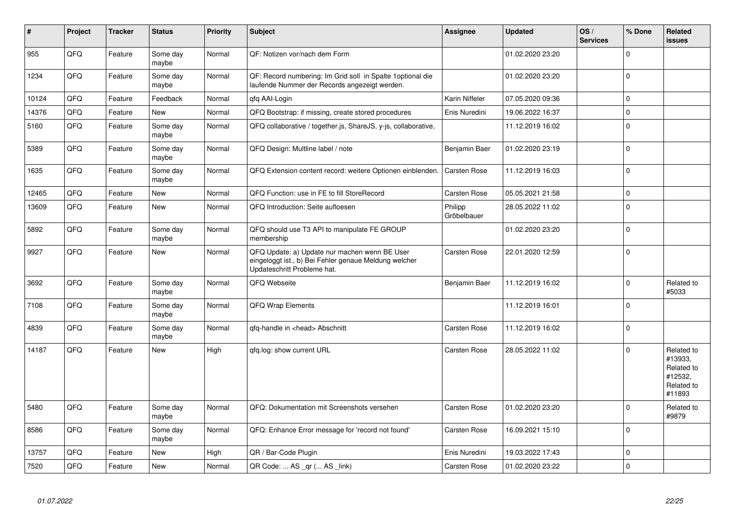| #     | Project | <b>Tracker</b> | <b>Status</b>     | <b>Priority</b> | <b>Subject</b>                                                                                                                        | <b>Assignee</b>        | <b>Updated</b>   | OS/<br><b>Services</b> | % Done      | <b>Related</b><br><b>issues</b>                                        |
|-------|---------|----------------|-------------------|-----------------|---------------------------------------------------------------------------------------------------------------------------------------|------------------------|------------------|------------------------|-------------|------------------------------------------------------------------------|
| 955   | QFQ     | Feature        | Some day<br>maybe | Normal          | QF: Notizen vor/nach dem Form                                                                                                         |                        | 01.02.2020 23:20 |                        | $\Omega$    |                                                                        |
| 1234  | QFQ     | Feature        | Some day<br>maybe | Normal          | QF: Record numbering: Im Grid soll in Spalte 1 optional die<br>laufende Nummer der Records angezeigt werden.                          |                        | 01.02.2020 23:20 |                        | $\mathbf 0$ |                                                                        |
| 10124 | QFQ     | Feature        | Feedback          | Normal          | gfg AAI-Login                                                                                                                         | Karin Niffeler         | 07.05.2020 09:36 |                        | $\mathbf 0$ |                                                                        |
| 14376 | QFQ     | Feature        | <b>New</b>        | Normal          | QFQ Bootstrap: if missing, create stored procedures                                                                                   | Enis Nuredini          | 19.06.2022 16:37 |                        | $\pmb{0}$   |                                                                        |
| 5160  | QFQ     | Feature        | Some day<br>maybe | Normal          | QFQ collaborative / together.js, ShareJS, y-js, collaborative,                                                                        |                        | 11.12.2019 16:02 |                        | $\mathbf 0$ |                                                                        |
| 5389  | QFQ     | Feature        | Some day<br>maybe | Normal          | QFQ Design: Multline label / note                                                                                                     | Benjamin Baer          | 01.02.2020 23:19 |                        | $\pmb{0}$   |                                                                        |
| 1635  | QFQ     | Feature        | Some day<br>maybe | Normal          | QFQ Extension content record: weitere Optionen einblenden.                                                                            | Carsten Rose           | 11.12.2019 16:03 |                        | $\pmb{0}$   |                                                                        |
| 12465 | QFQ     | Feature        | <b>New</b>        | Normal          | QFQ Function: use in FE to fill StoreRecord                                                                                           | Carsten Rose           | 05.05.2021 21:58 |                        | $\mathbf 0$ |                                                                        |
| 13609 | QFQ     | Feature        | <b>New</b>        | Normal          | QFQ Introduction: Seite aufloesen                                                                                                     | Philipp<br>Gröbelbauer | 28.05.2022 11:02 |                        | $\mathbf 0$ |                                                                        |
| 5892  | QFQ     | Feature        | Some day<br>maybe | Normal          | QFQ should use T3 API to manipulate FE GROUP<br>membership                                                                            |                        | 01.02.2020 23:20 |                        | $\pmb{0}$   |                                                                        |
| 9927  | QFQ     | Feature        | New               | Normal          | QFQ Update: a) Update nur machen wenn BE User<br>eingeloggt ist., b) Bei Fehler genaue Meldung welcher<br>Updateschritt Probleme hat. | Carsten Rose           | 22.01.2020 12:59 |                        | $\mathbf 0$ |                                                                        |
| 3692  | QFQ     | Feature        | Some day<br>maybe | Normal          | QFQ Webseite                                                                                                                          | Benjamin Baer          | 11.12.2019 16:02 |                        | $\Omega$    | Related to<br>#5033                                                    |
| 7108  | QFQ     | Feature        | Some day<br>maybe | Normal          | QFQ Wrap Elements                                                                                                                     |                        | 11.12.2019 16:01 |                        | $\mathbf 0$ |                                                                        |
| 4839  | QFQ     | Feature        | Some day<br>maybe | Normal          | qfq-handle in <head> Abschnitt</head>                                                                                                 | Carsten Rose           | 11.12.2019 16:02 |                        | $\mathbf 0$ |                                                                        |
| 14187 | QFQ     | Feature        | <b>New</b>        | High            | gfg.log: show current URL                                                                                                             | Carsten Rose           | 28.05.2022 11:02 |                        | $\mathbf 0$ | Related to<br>#13933,<br>Related to<br>#12532,<br>Related to<br>#11893 |
| 5480  | QFQ     | Feature        | Some day<br>maybe | Normal          | QFQ: Dokumentation mit Screenshots versehen                                                                                           | Carsten Rose           | 01.02.2020 23:20 |                        | $\Omega$    | Related to<br>#9879                                                    |
| 8586  | QFQ     | Feature        | Some day<br>maybe | Normal          | QFQ: Enhance Error message for 'record not found'                                                                                     | Carsten Rose           | 16.09.2021 15:10 |                        | $\mathbf 0$ |                                                                        |
| 13757 | QFQ     | Feature        | New               | High            | QR / Bar-Code Plugin                                                                                                                  | Enis Nuredini          | 19.03.2022 17:43 |                        | $\mathbf 0$ |                                                                        |
| 7520  | QFQ     | Feature        | <b>New</b>        | Normal          | QR Code:  AS _qr ( AS _link)                                                                                                          | Carsten Rose           | 01.02.2020 23:22 |                        | $\Omega$    |                                                                        |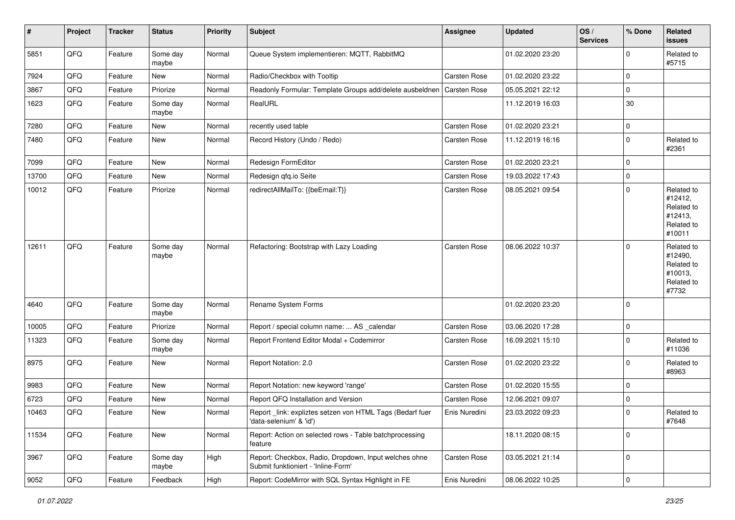| #     | Project | <b>Tracker</b> | <b>Status</b>     | <b>Priority</b> | <b>Subject</b>                                                                               | Assignee      | <b>Updated</b>   | OS/<br><b>Services</b> | % Done              | Related<br>issues                                                      |
|-------|---------|----------------|-------------------|-----------------|----------------------------------------------------------------------------------------------|---------------|------------------|------------------------|---------------------|------------------------------------------------------------------------|
| 5851  | QFQ     | Feature        | Some day<br>maybe | Normal          | Queue System implementieren: MQTT, RabbitMQ                                                  |               | 01.02.2020 23:20 |                        | $\Omega$            | Related to<br>#5715                                                    |
| 7924  | QFQ     | Feature        | New               | Normal          | Radio/Checkbox with Tooltip                                                                  | Carsten Rose  | 01.02.2020 23:22 |                        | $\Omega$            |                                                                        |
| 3867  | QFQ     | Feature        | Priorize          | Normal          | Readonly Formular: Template Groups add/delete ausbeldnen                                     | Carsten Rose  | 05.05.2021 22:12 |                        | $\mathbf 0$         |                                                                        |
| 1623  | QFQ     | Feature        | Some day<br>maybe | Normal          | RealURL                                                                                      |               | 11.12.2019 16:03 |                        | 30                  |                                                                        |
| 7280  | QFQ     | Feature        | New               | Normal          | recently used table                                                                          | Carsten Rose  | 01.02.2020 23:21 |                        | 0                   |                                                                        |
| 7480  | QFQ     | Feature        | New               | Normal          | Record History (Undo / Redo)                                                                 | Carsten Rose  | 11.12.2019 16:16 |                        | $\Omega$            | Related to<br>#2361                                                    |
| 7099  | QFQ     | Feature        | New               | Normal          | Redesign FormEditor                                                                          | Carsten Rose  | 01.02.2020 23:21 |                        | $\Omega$            |                                                                        |
| 13700 | QFQ     | Feature        | New               | Normal          | Redesign qfq.io Seite                                                                        | Carsten Rose  | 19.03.2022 17:43 |                        | $\Omega$            |                                                                        |
| 10012 | QFQ     | Feature        | Priorize          | Normal          | redirectAllMailTo: {{beEmail:T}}                                                             | Carsten Rose  | 08.05.2021 09:54 |                        | $\Omega$            | Related to<br>#12412,<br>Related to<br>#12413,<br>Related to<br>#10011 |
| 12611 | QFQ     | Feature        | Some day<br>maybe | Normal          | Refactoring: Bootstrap with Lazy Loading                                                     | Carsten Rose  | 08.06.2022 10:37 |                        | $\Omega$            | Related to<br>#12490,<br>Related to<br>#10013,<br>Related to<br>#7732  |
| 4640  | QFQ     | Feature        | Some day<br>maybe | Normal          | Rename System Forms                                                                          |               | 01.02.2020 23:20 |                        | $\Omega$            |                                                                        |
| 10005 | QFQ     | Feature        | Priorize          | Normal          | Report / special column name:  AS _calendar                                                  | Carsten Rose  | 03.06.2020 17:28 |                        | $\mathbf 0$         |                                                                        |
| 11323 | QFQ     | Feature        | Some day<br>maybe | Normal          | Report Frontend Editor Modal + Codemirror                                                    | Carsten Rose  | 16.09.2021 15:10 |                        | $\Omega$            | Related to<br>#11036                                                   |
| 8975  | QFQ     | Feature        | <b>New</b>        | Normal          | Report Notation: 2.0                                                                         | Carsten Rose  | 01.02.2020 23:22 |                        | $\Omega$            | Related to<br>#8963                                                    |
| 9983  | QFQ     | Feature        | New               | Normal          | Report Notation: new keyword 'range'                                                         | Carsten Rose  | 01.02.2020 15:55 |                        | $\mathbf 0$         |                                                                        |
| 6723  | QFQ     | Feature        | New               | Normal          | Report QFQ Installation and Version                                                          | Carsten Rose  | 12.06.2021 09:07 |                        | $\mathbf 0$         |                                                                        |
| 10463 | QFQ     | Feature        | New               | Normal          | Report _link: expliztes setzen von HTML Tags (Bedarf fuer<br>'data-selenium' & 'id')         | Enis Nuredini | 23.03.2022 09:23 |                        | $\Omega$            | Related to<br>#7648                                                    |
| 11534 | QFQ     | Feature        | New               | Normal          | Report: Action on selected rows - Table batchprocessing<br>feature                           |               | 18.11.2020 08:15 |                        | $\mathbf 0$         |                                                                        |
| 3967  | QFG     | Feature        | Some day<br>maybe | High            | Report: Checkbox, Radio, Dropdown, Input welches ohne<br>Submit funktioniert - 'Inline-Form' | Carsten Rose  | 03.05.2021 21:14 |                        | 0                   |                                                                        |
| 9052  | QFQ     | Feature        | Feedback          | High            | Report: CodeMirror with SQL Syntax Highlight in FE                                           | Enis Nuredini | 08.06.2022 10:25 |                        | $\mathsf{O}\xspace$ |                                                                        |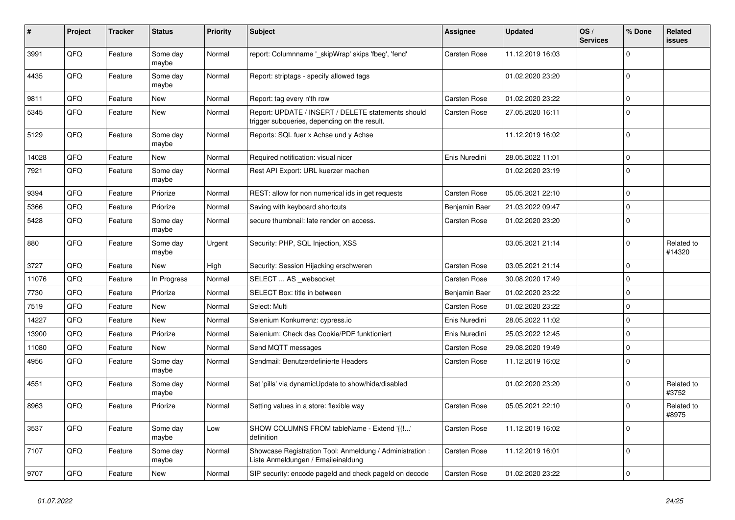| #     | Project | <b>Tracker</b> | <b>Status</b>     | <b>Priority</b> | <b>Subject</b>                                                                                     | Assignee      | <b>Updated</b>   | OS/<br><b>Services</b> | % Done      | Related<br><b>issues</b> |
|-------|---------|----------------|-------------------|-----------------|----------------------------------------------------------------------------------------------------|---------------|------------------|------------------------|-------------|--------------------------|
| 3991  | QFQ     | Feature        | Some day<br>maybe | Normal          | report: Columnname '_skipWrap' skips 'fbeg', 'fend'                                                | Carsten Rose  | 11.12.2019 16:03 |                        | $\Omega$    |                          |
| 4435  | QFQ     | Feature        | Some day<br>maybe | Normal          | Report: striptags - specify allowed tags                                                           |               | 01.02.2020 23:20 |                        | $\Omega$    |                          |
| 9811  | QFQ     | Feature        | New               | Normal          | Report: tag every n'th row                                                                         | Carsten Rose  | 01.02.2020 23:22 |                        | $\mathbf 0$ |                          |
| 5345  | QFQ     | Feature        | New               | Normal          | Report: UPDATE / INSERT / DELETE statements should<br>trigger subqueries, depending on the result. | Carsten Rose  | 27.05.2020 16:11 |                        | $\Omega$    |                          |
| 5129  | QFQ     | Feature        | Some day<br>maybe | Normal          | Reports: SQL fuer x Achse und y Achse                                                              |               | 11.12.2019 16:02 |                        | $\Omega$    |                          |
| 14028 | QFQ     | Feature        | <b>New</b>        | Normal          | Required notification: visual nicer                                                                | Enis Nuredini | 28.05.2022 11:01 |                        | $\Omega$    |                          |
| 7921  | QFQ     | Feature        | Some day<br>maybe | Normal          | Rest API Export: URL kuerzer machen                                                                |               | 01.02.2020 23:19 |                        | $\Omega$    |                          |
| 9394  | QFQ     | Feature        | Priorize          | Normal          | REST: allow for non numerical ids in get requests                                                  | Carsten Rose  | 05.05.2021 22:10 |                        | $\mathbf 0$ |                          |
| 5366  | QFQ     | Feature        | Priorize          | Normal          | Saving with keyboard shortcuts                                                                     | Benjamin Baer | 21.03.2022 09:47 |                        | $\mathbf 0$ |                          |
| 5428  | QFQ     | Feature        | Some day<br>maybe | Normal          | secure thumbnail: late render on access.                                                           | Carsten Rose  | 01.02.2020 23:20 |                        | $\Omega$    |                          |
| 880   | QFQ     | Feature        | Some day<br>maybe | Urgent          | Security: PHP, SQL Injection, XSS                                                                  |               | 03.05.2021 21:14 |                        | $\Omega$    | Related to<br>#14320     |
| 3727  | QFQ     | Feature        | <b>New</b>        | High            | Security: Session Hijacking erschweren                                                             | Carsten Rose  | 03.05.2021 21:14 |                        | $\Omega$    |                          |
| 11076 | QFQ     | Feature        | In Progress       | Normal          | SELECT  AS _websocket                                                                              | Carsten Rose  | 30.08.2020 17:49 |                        | $\Omega$    |                          |
| 7730  | QFQ     | Feature        | Priorize          | Normal          | SELECT Box: title in between                                                                       | Benjamin Baer | 01.02.2020 23:22 |                        | $\mathbf 0$ |                          |
| 7519  | QFQ     | Feature        | <b>New</b>        | Normal          | Select: Multi                                                                                      | Carsten Rose  | 01.02.2020 23:22 |                        | $\Omega$    |                          |
| 14227 | QFQ     | Feature        | New               | Normal          | Selenium Konkurrenz: cypress.io                                                                    | Enis Nuredini | 28.05.2022 11:02 |                        | $\Omega$    |                          |
| 13900 | QFQ     | Feature        | Priorize          | Normal          | Selenium: Check das Cookie/PDF funktioniert                                                        | Enis Nuredini | 25.03.2022 12:45 |                        | $\Omega$    |                          |
| 11080 | QFQ     | Feature        | <b>New</b>        | Normal          | Send MQTT messages                                                                                 | Carsten Rose  | 29.08.2020 19:49 |                        | $\Omega$    |                          |
| 4956  | QFQ     | Feature        | Some day<br>maybe | Normal          | Sendmail: Benutzerdefinierte Headers                                                               | Carsten Rose  | 11.12.2019 16:02 |                        | $\Omega$    |                          |
| 4551  | QFQ     | Feature        | Some day<br>maybe | Normal          | Set 'pills' via dynamicUpdate to show/hide/disabled                                                |               | 01.02.2020 23:20 |                        | $\Omega$    | Related to<br>#3752      |
| 8963  | QFQ     | Feature        | Priorize          | Normal          | Setting values in a store: flexible way                                                            | Carsten Rose  | 05.05.2021 22:10 |                        | $\Omega$    | Related to<br>#8975      |
| 3537  | QFQ     | Feature        | Some day<br>maybe | Low             | SHOW COLUMNS FROM tableName - Extend '{{'<br>definition                                            | Carsten Rose  | 11.12.2019 16:02 |                        | $\Omega$    |                          |
| 7107  | QFQ     | Feature        | Some day<br>maybe | Normal          | Showcase Registration Tool: Anmeldung / Administration :<br>Liste Anmeldungen / Emaileinaldung     | Carsten Rose  | 11.12.2019 16:01 |                        | $\Omega$    |                          |
| 9707  | QFQ     | Feature        | <b>New</b>        | Normal          | SIP security: encode pageld and check pageld on decode                                             | Carsten Rose  | 01.02.2020 23:22 |                        | $\Omega$    |                          |